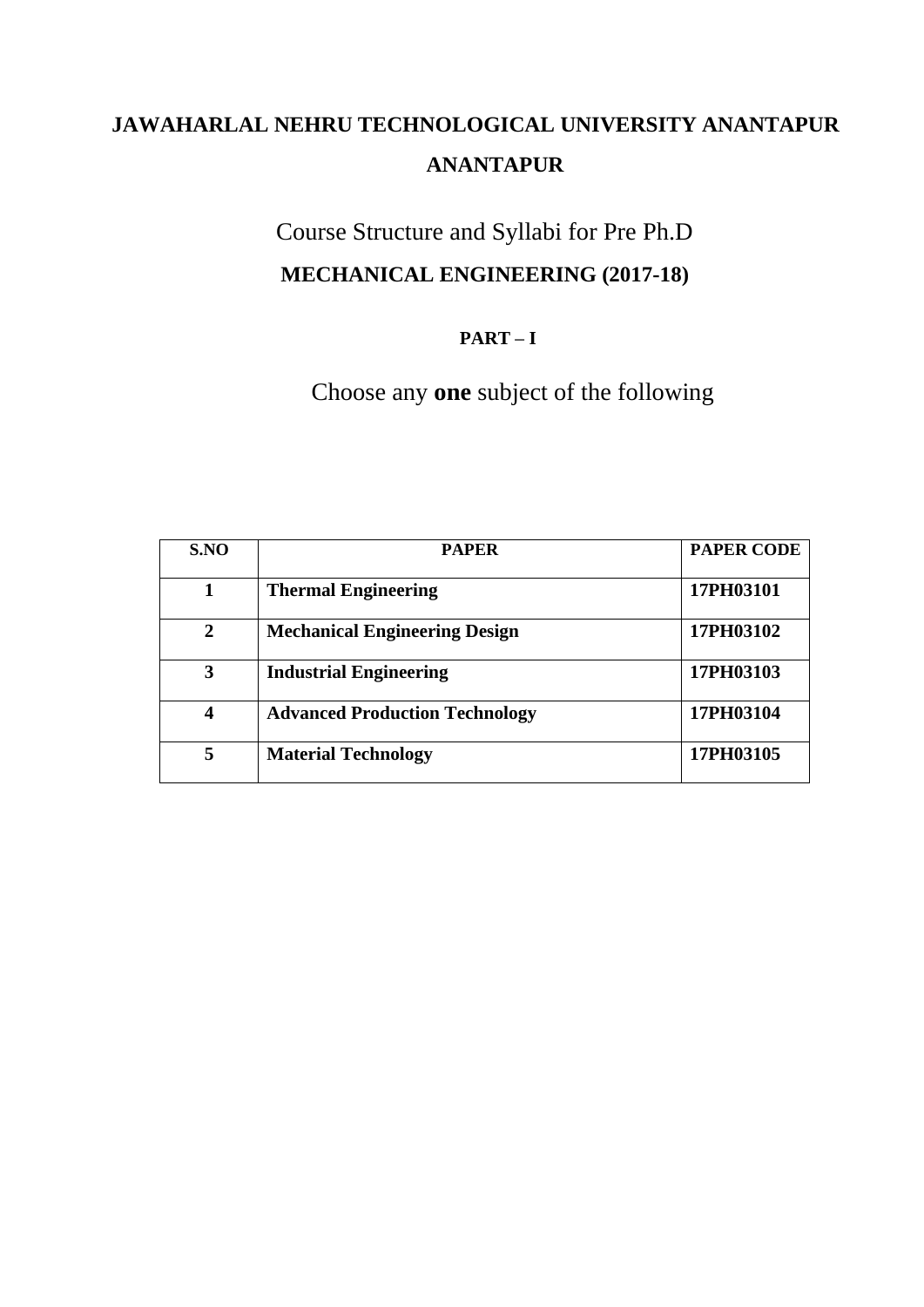# Course Structure and Syllabi for Pre Ph.D **MECHANICAL ENGINEERING (2017-18)**

# **PART – I**

Choose any **one** subject of the following

| S.NO         | <b>PAPER</b>                          | <b>PAPER CODE</b> |
|--------------|---------------------------------------|-------------------|
|              | <b>Thermal Engineering</b>            | 17PH03101         |
| $\mathbf{2}$ | <b>Mechanical Engineering Design</b>  | 17PH03102         |
| 3            | <b>Industrial Engineering</b>         | 17PH03103         |
| 4            | <b>Advanced Production Technology</b> | 17PH03104         |
| 5            | <b>Material Technology</b>            | 17PH03105         |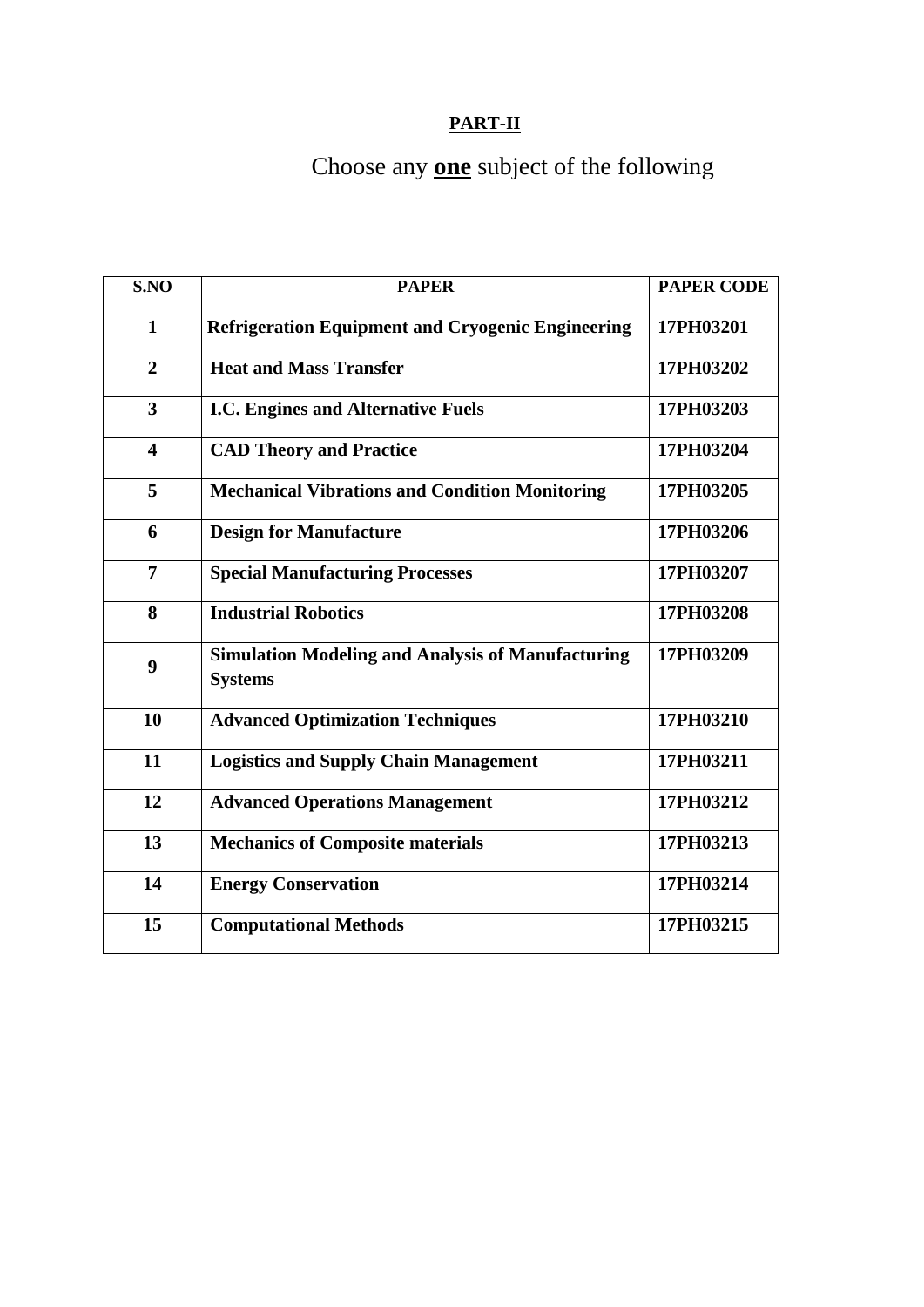# **PART-II**

# Choose any **one** subject of the following

| S.NO                    | <b>PAPER</b>                                                               | <b>PAPER CODE</b> |
|-------------------------|----------------------------------------------------------------------------|-------------------|
| $\mathbf{1}$            | <b>Refrigeration Equipment and Cryogenic Engineering</b>                   | 17PH03201         |
| $\overline{2}$          | <b>Heat and Mass Transfer</b>                                              | 17PH03202         |
| $\overline{3}$          | <b>I.C. Engines and Alternative Fuels</b>                                  | 17PH03203         |
| $\overline{\mathbf{4}}$ | <b>CAD Theory and Practice</b>                                             | 17PH03204         |
| 5                       | <b>Mechanical Vibrations and Condition Monitoring</b>                      | 17PH03205         |
| 6                       | <b>Design for Manufacture</b>                                              | 17PH03206         |
| $\overline{7}$          | <b>Special Manufacturing Processes</b>                                     | 17PH03207         |
| 8                       | <b>Industrial Robotics</b>                                                 | 17PH03208         |
| 9                       | <b>Simulation Modeling and Analysis of Manufacturing</b><br><b>Systems</b> | 17PH03209         |
| 10                      | <b>Advanced Optimization Techniques</b>                                    | 17PH03210         |
| 11                      | <b>Logistics and Supply Chain Management</b>                               | 17PH03211         |
| 12                      | <b>Advanced Operations Management</b>                                      | 17PH03212         |
| 13                      | <b>Mechanics of Composite materials</b>                                    | 17PH03213         |
| 14                      | <b>Energy Conservation</b>                                                 | 17PH03214         |
| 15                      | <b>Computational Methods</b>                                               | 17PH03215         |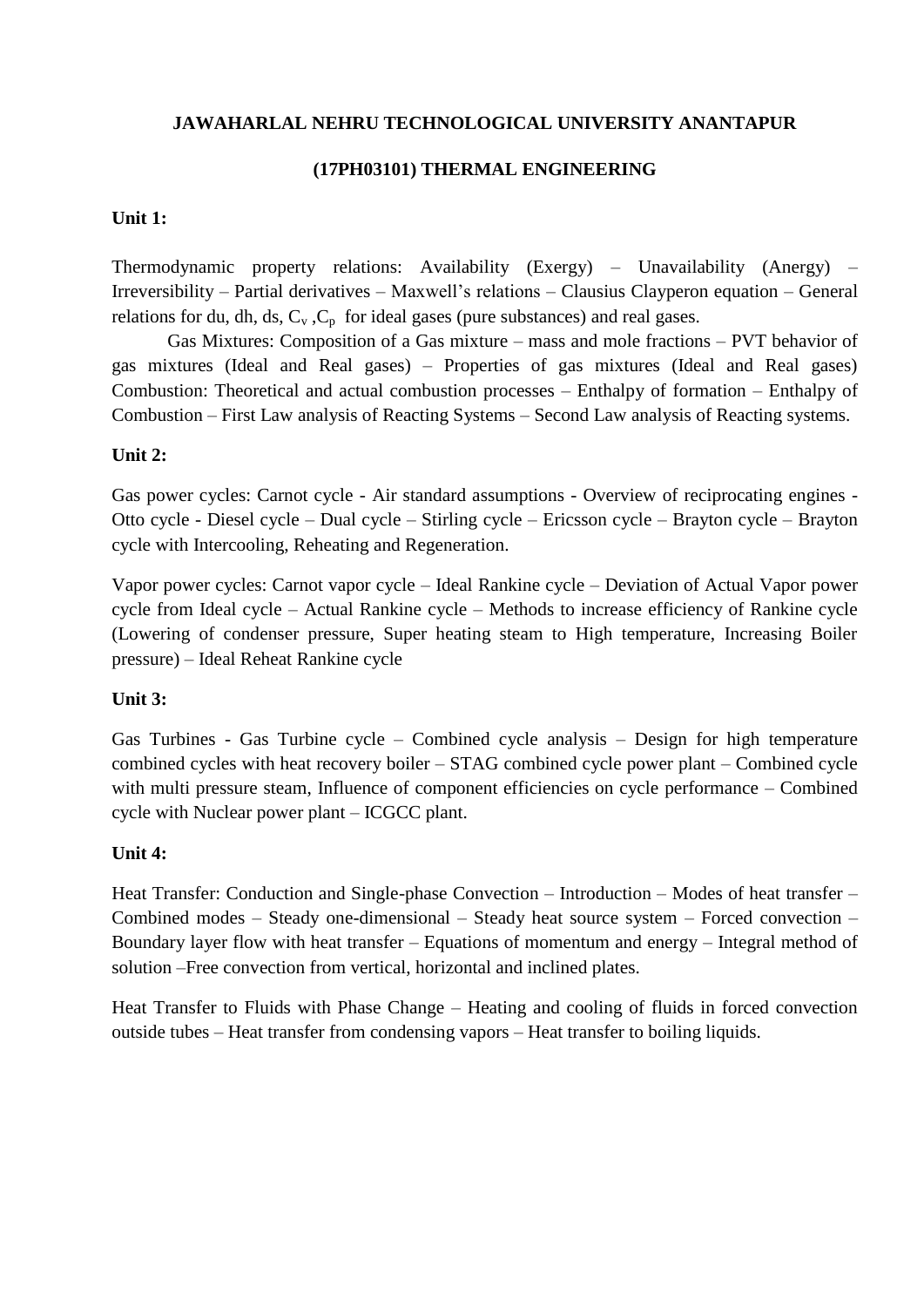#### **(17PH03101) THERMAL ENGINEERING**

#### **Unit 1:**

Thermodynamic property relations: Availability (Exergy) – Unavailability (Anergy) – Irreversibility – Partial derivatives – Maxwell's relations – Clausius Clayperon equation – General relations for du, dh, ds,  $C_v$ ,  $C_p$  for ideal gases (pure substances) and real gases.

Gas Mixtures: Composition of a Gas mixture – mass and mole fractions – PVT behavior of gas mixtures (Ideal and Real gases) – Properties of gas mixtures (Ideal and Real gases) Combustion: Theoretical and actual combustion processes – Enthalpy of formation – Enthalpy of Combustion – First Law analysis of Reacting Systems – Second Law analysis of Reacting systems.

#### **Unit 2:**

Gas power cycles: Carnot cycle - Air standard assumptions - Overview of reciprocating engines - Otto cycle - Diesel cycle – Dual cycle – Stirling cycle – Ericsson cycle – Brayton cycle – Brayton cycle with Intercooling, Reheating and Regeneration.

Vapor power cycles: Carnot vapor cycle – Ideal Rankine cycle – Deviation of Actual Vapor power cycle from Ideal cycle – Actual Rankine cycle – Methods to increase efficiency of Rankine cycle (Lowering of condenser pressure, Super heating steam to High temperature, Increasing Boiler pressure) – Ideal Reheat Rankine cycle

#### **Unit 3:**

Gas Turbines - Gas Turbine cycle – Combined cycle analysis – Design for high temperature combined cycles with heat recovery boiler – STAG combined cycle power plant – Combined cycle with multi pressure steam, Influence of component efficiencies on cycle performance – Combined cycle with Nuclear power plant – ICGCC plant.

#### **Unit 4:**

Heat Transfer: Conduction and Single-phase Convection – Introduction – Modes of heat transfer – Combined modes – Steady one-dimensional – Steady heat source system – Forced convection – Boundary layer flow with heat transfer – Equations of momentum and energy – Integral method of solution –Free convection from vertical, horizontal and inclined plates.

Heat Transfer to Fluids with Phase Change – Heating and cooling of fluids in forced convection outside tubes – Heat transfer from condensing vapors – Heat transfer to boiling liquids.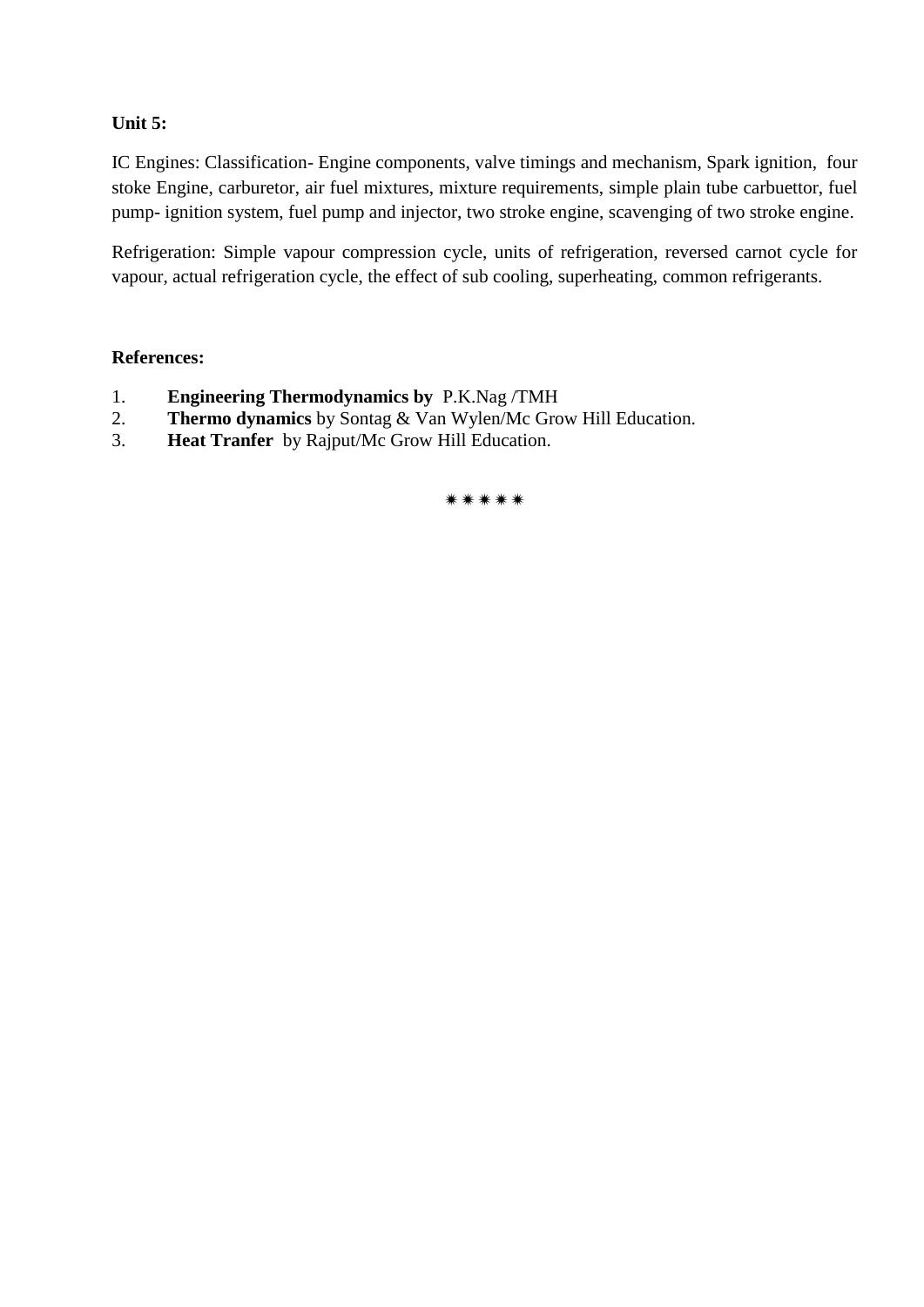# **Unit 5:**

IC Engines: Classification- Engine components, valve timings and mechanism, Spark ignition, four stoke Engine, carburetor, air fuel mixtures, mixture requirements, simple plain tube carbuettor, fuel pump- ignition system, fuel pump and injector, two stroke engine, scavenging of two stroke engine.

Refrigeration: Simple vapour compression cycle, units of refrigeration, reversed carnot cycle for vapour, actual refrigeration cycle, the effect of sub cooling, superheating, common refrigerants.

#### **References:**

- 1. **Engineering Thermodynamics by** P.K.Nag /TMH
- 2. **Thermo dynamics** by Sontag & Van Wylen/Mc Grow Hill Education.
- 3. **Heat Tranfer** by Rajput/Mc Grow Hill Education.

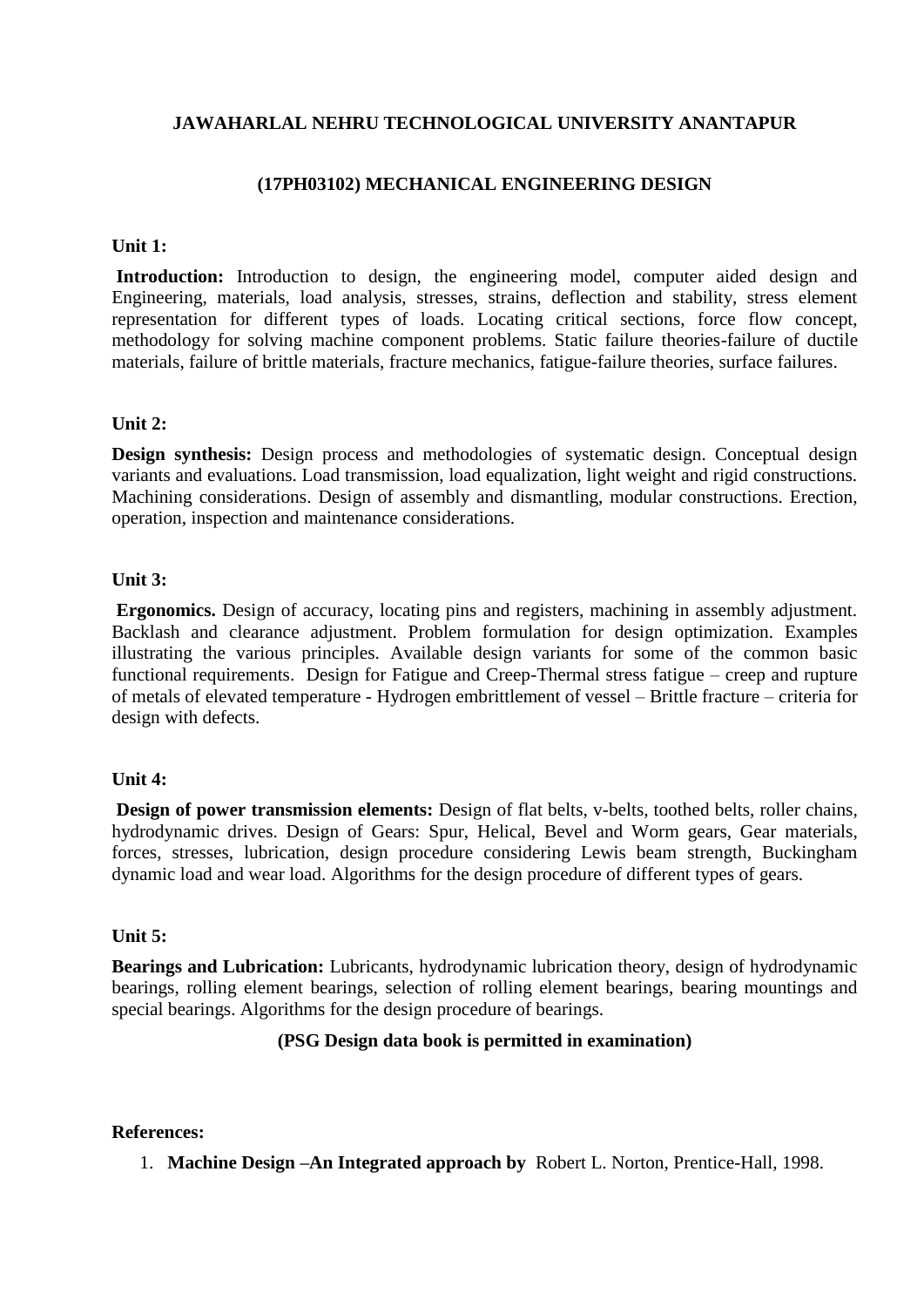#### **(17PH03102) MECHANICAL ENGINEERING DESIGN**

#### **Unit 1:**

Introduction: Introduction to design, the engineering model, computer aided design and Engineering, materials, load analysis, stresses, strains, deflection and stability, stress element representation for different types of loads. Locating critical sections, force flow concept, methodology for solving machine component problems. Static failure theories-failure of ductile materials, failure of brittle materials, fracture mechanics, fatigue-failure theories, surface failures.

#### **Unit 2:**

**Design synthesis:** Design process and methodologies of systematic design. Conceptual design variants and evaluations. Load transmission, load equalization, light weight and rigid constructions. Machining considerations. Design of assembly and dismantling, modular constructions. Erection, operation, inspection and maintenance considerations.

#### **Unit 3:**

**Ergonomics.** Design of accuracy, locating pins and registers, machining in assembly adjustment. Backlash and clearance adjustment. Problem formulation for design optimization. Examples illustrating the various principles. Available design variants for some of the common basic functional requirements. Design for Fatigue and Creep-Thermal stress fatigue – creep and rupture of metals of elevated temperature - Hydrogen embrittlement of vessel – Brittle fracture – criteria for design with defects.

#### **Unit 4:**

**Design of power transmission elements:** Design of flat belts, v-belts, toothed belts, roller chains, hydrodynamic drives. Design of Gears: Spur, Helical, Bevel and Worm gears, Gear materials, forces, stresses, lubrication, design procedure considering Lewis beam strength, Buckingham dynamic load and wear load. Algorithms for the design procedure of different types of gears.

#### **Unit 5:**

**Bearings and Lubrication:** Lubricants, hydrodynamic lubrication theory, design of hydrodynamic bearings, rolling element bearings, selection of rolling element bearings, bearing mountings and special bearings. Algorithms for the design procedure of bearings.

#### **(PSG Design data book is permitted in examination)**

#### **References:**

1. **Machine Design –An Integrated approach by** Robert L. Norton, Prentice-Hall, 1998.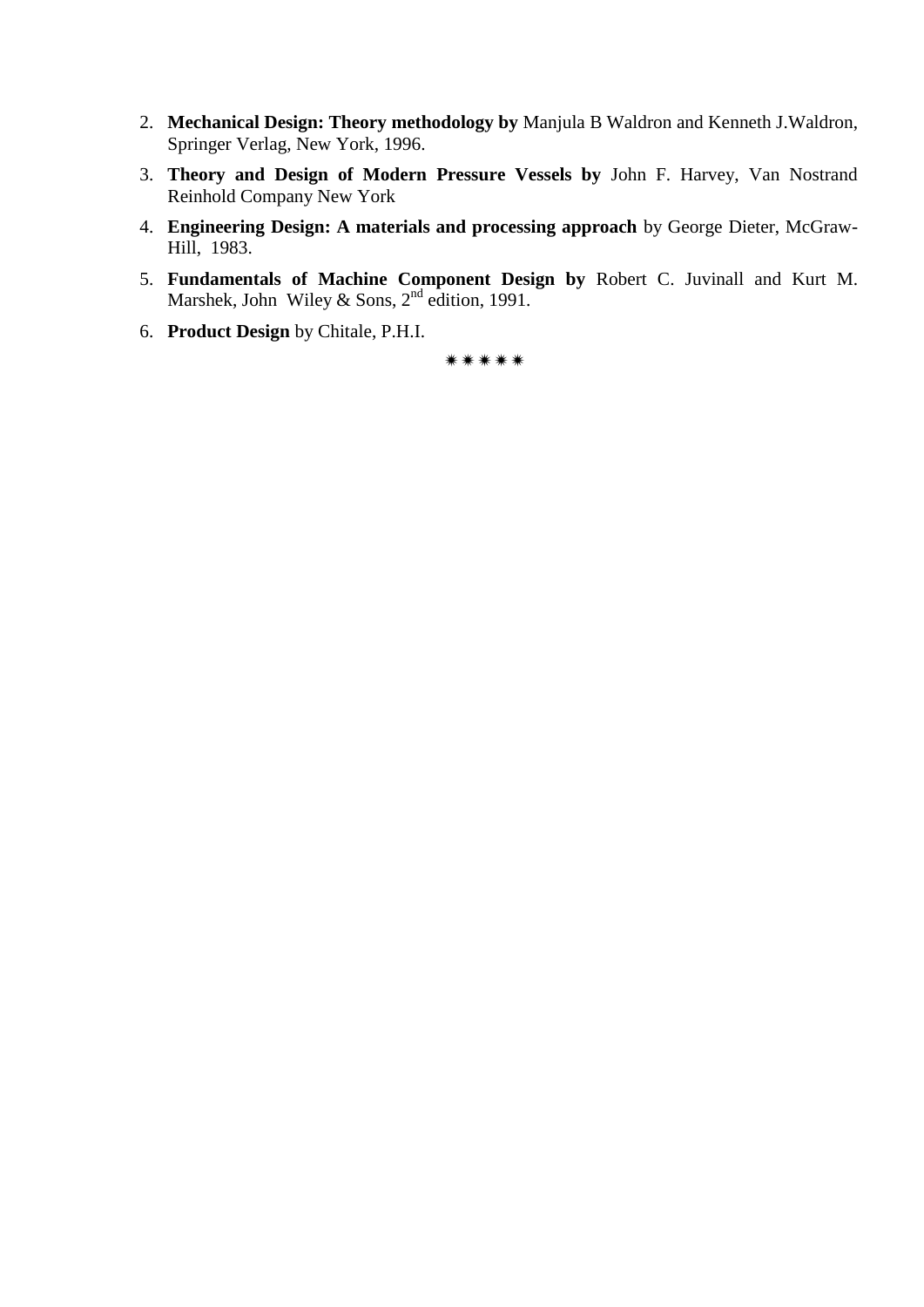- 2. **Mechanical Design: Theory methodology by** Manjula B Waldron and Kenneth J.Waldron, Springer Verlag, New York, 1996.
- 3. **Theory and Design of Modern Pressure Vessels by** John F. Harvey, Van Nostrand Reinhold Company New York
- 4. **Engineering Design: A materials and processing approach** by George Dieter, McGraw-Hill, 1983.
- 5. **Fundamentals of Machine Component Design by** Robert C. Juvinall and Kurt M. Marshek, John Wiley & Sons, 2<sup>nd</sup> edition, 1991.
- 6. **Product Design** by Chitale, P.H.I.

\*\*\*\*\*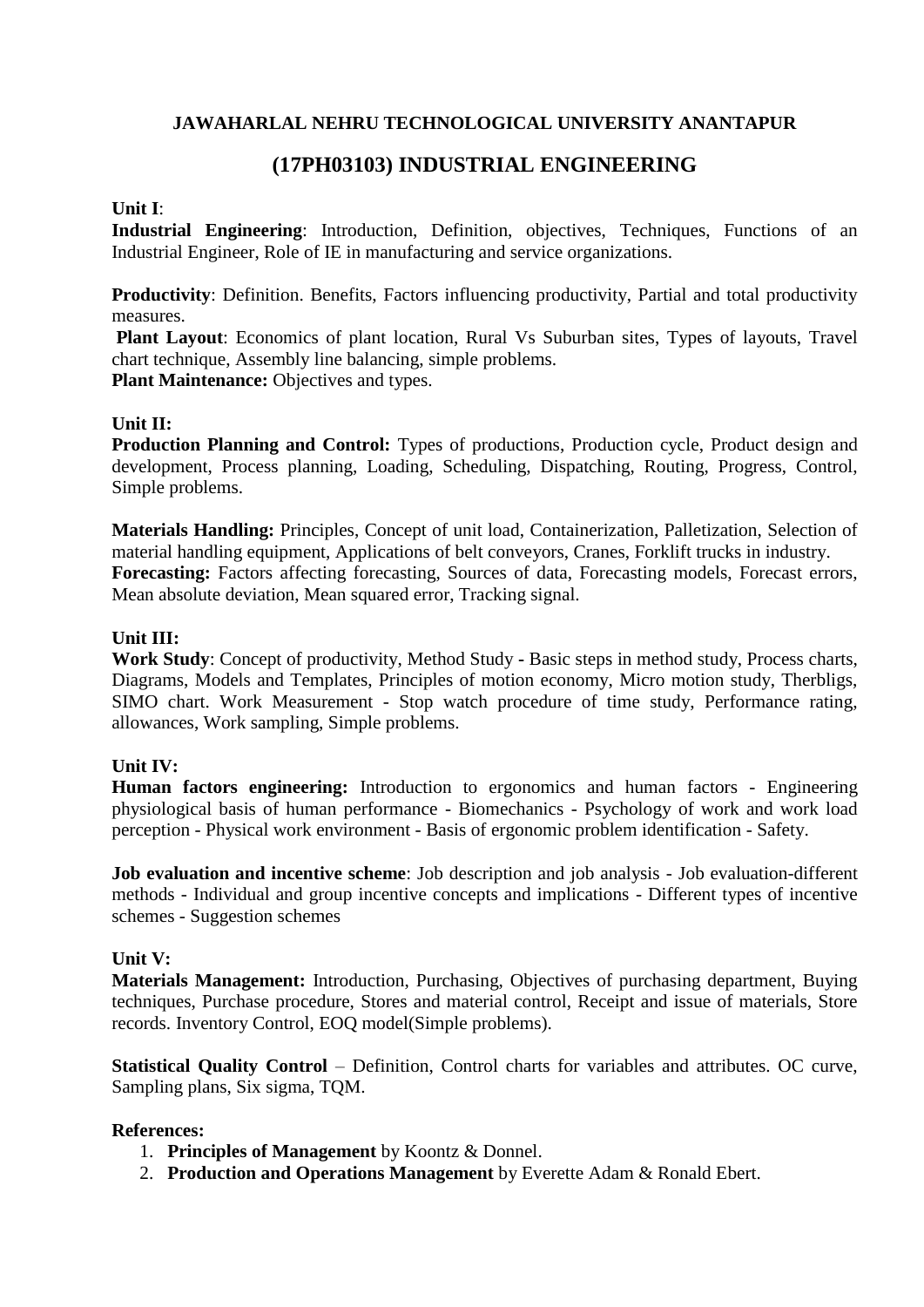# **(17PH03103) INDUSTRIAL ENGINEERING**

#### **Unit I**:

**Industrial Engineering:** Introduction, Definition, objectives, Techniques, Functions of an Industrial Engineer, Role of IE in manufacturing and service organizations.

**Productivity**: Definition. Benefits, Factors influencing productivity, Partial and total productivity measures.

**Plant Layout**: Economics of plant location, Rural Vs Suburban sites, Types of layouts, Travel chart technique, Assembly line balancing, simple problems. **Plant Maintenance: Objectives and types.** 

#### **Unit II:**

**Production Planning and Control:** Types of productions, Production cycle, Product design and development, Process planning, Loading, Scheduling, Dispatching, Routing, Progress, Control, Simple problems.

**Materials Handling:** Principles, Concept of unit load, Containerization, Palletization, Selection of material handling equipment, Applications of belt conveyors, Cranes, Forklift trucks in industry. **Forecasting:** Factors affecting forecasting, Sources of data, Forecasting models, Forecast errors, Mean absolute deviation, Mean squared error, Tracking signal.

#### **Unit III:**

**Work Study**: Concept of productivity, Method Study **-** Basic steps in method study, Process charts, Diagrams, Models and Templates, Principles of motion economy, Micro motion study, Therbligs, SIMO chart. Work Measurement - Stop watch procedure of time study, Performance rating, allowances, Work sampling, Simple problems.

# **Unit IV:**

**Human factors engineering:** Introduction to ergonomics and human factors - Engineering physiological basis of human performance - Biomechanics - Psychology of work and work load perception - Physical work environment - Basis of ergonomic problem identification - Safety.

**Job evaluation and incentive scheme**: Job description and job analysis - Job evaluation-different methods - Individual and group incentive concepts and implications - Different types of incentive schemes - Suggestion schemes

#### **Unit V:**

**Materials Management:** Introduction, Purchasing, Objectives of purchasing department, Buying techniques, Purchase procedure, Stores and material control, Receipt and issue of materials, Store records. Inventory Control, EOQ model(Simple problems).

**Statistical Quality Control** – Definition, Control charts for variables and attributes. OC curve, Sampling plans, Six sigma, TQM.

#### **References:**

- 1. **Principles of Management** by Koontz & Donnel.
- 2. **Production and Operations Management** by Everette Adam & Ronald Ebert.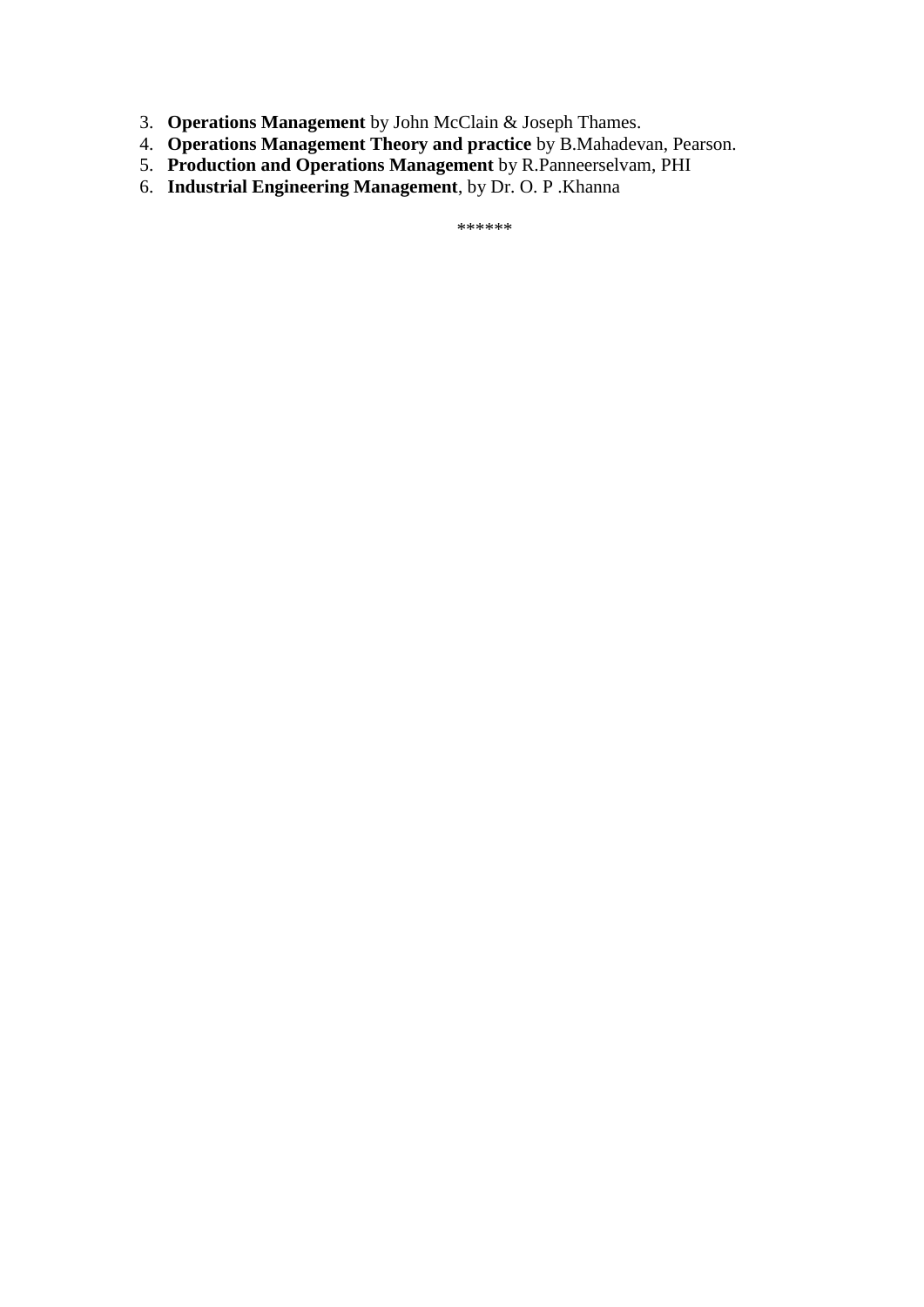- 3. **Operations Management** by John McClain & Joseph Thames.
- 4. **Operations Management Theory and practice** by B.Mahadevan, Pearson.
- 5. **Production and Operations Management** by R.Panneerselvam, PHI
- 6. **Industrial Engineering Management**, by Dr. O. P .Khanna

\*\*\*\*\*\*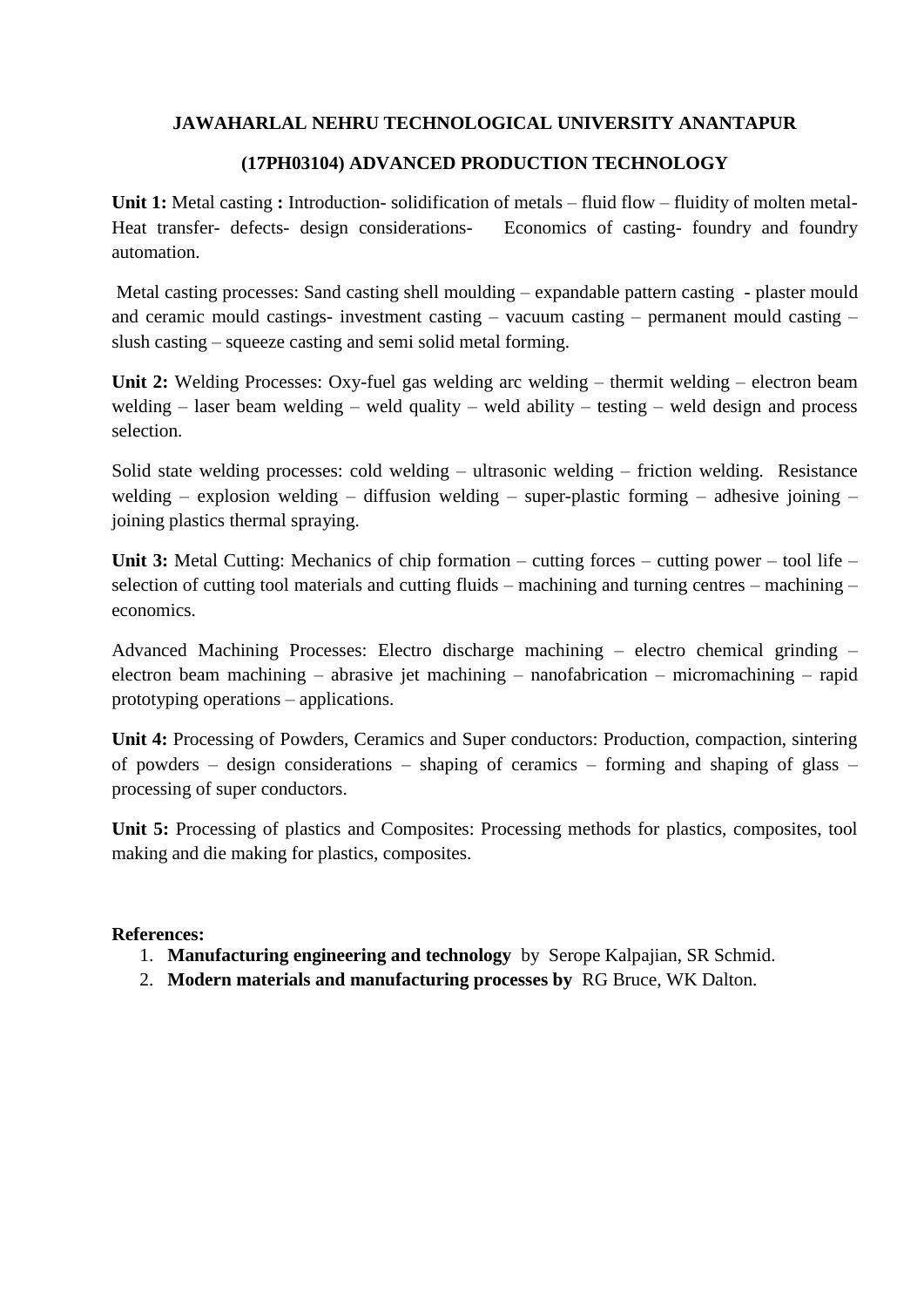#### **(17PH03104) ADVANCED PRODUCTION TECHNOLOGY**

**Unit 1:** Metal casting **:** Introduction- solidification of metals – fluid flow – fluidity of molten metal-Heat transfer- defects- design considerations- Economics of casting- foundry and foundry automation.

Metal casting processes: Sand casting shell moulding – expandable pattern casting - plaster mould and ceramic mould castings- investment casting – vacuum casting – permanent mould casting – slush casting – squeeze casting and semi solid metal forming.

Unit 2: Welding Processes: Oxy-fuel gas welding arc welding – thermit welding – electron beam welding – laser beam welding – weld quality – weld ability – testing – weld design and process selection.

Solid state welding processes: cold welding – ultrasonic welding – friction welding. Resistance welding – explosion welding – diffusion welding – super-plastic forming – adhesive joining – joining plastics thermal spraying.

**Unit 3:** Metal Cutting: Mechanics of chip formation – cutting forces – cutting power – tool life – selection of cutting tool materials and cutting fluids – machining and turning centres – machining – economics.

Advanced Machining Processes: Electro discharge machining – electro chemical grinding – electron beam machining – abrasive jet machining – nanofabrication – micromachining – rapid prototyping operations – applications.

**Unit 4:** Processing of Powders, Ceramics and Super conductors: Production, compaction, sintering of powders – design considerations – shaping of ceramics – forming and shaping of glass – processing of super conductors.

**Unit 5:** Processing of plastics and Composites: Processing methods for plastics, composites, tool making and die making for plastics, composites.

#### **References:**

- 1. **Manufacturing engineering and technology** by Serope Kalpajian, SR Schmid.
- 2. **Modern materials and manufacturing processes by** RG Bruce, WK Dalton.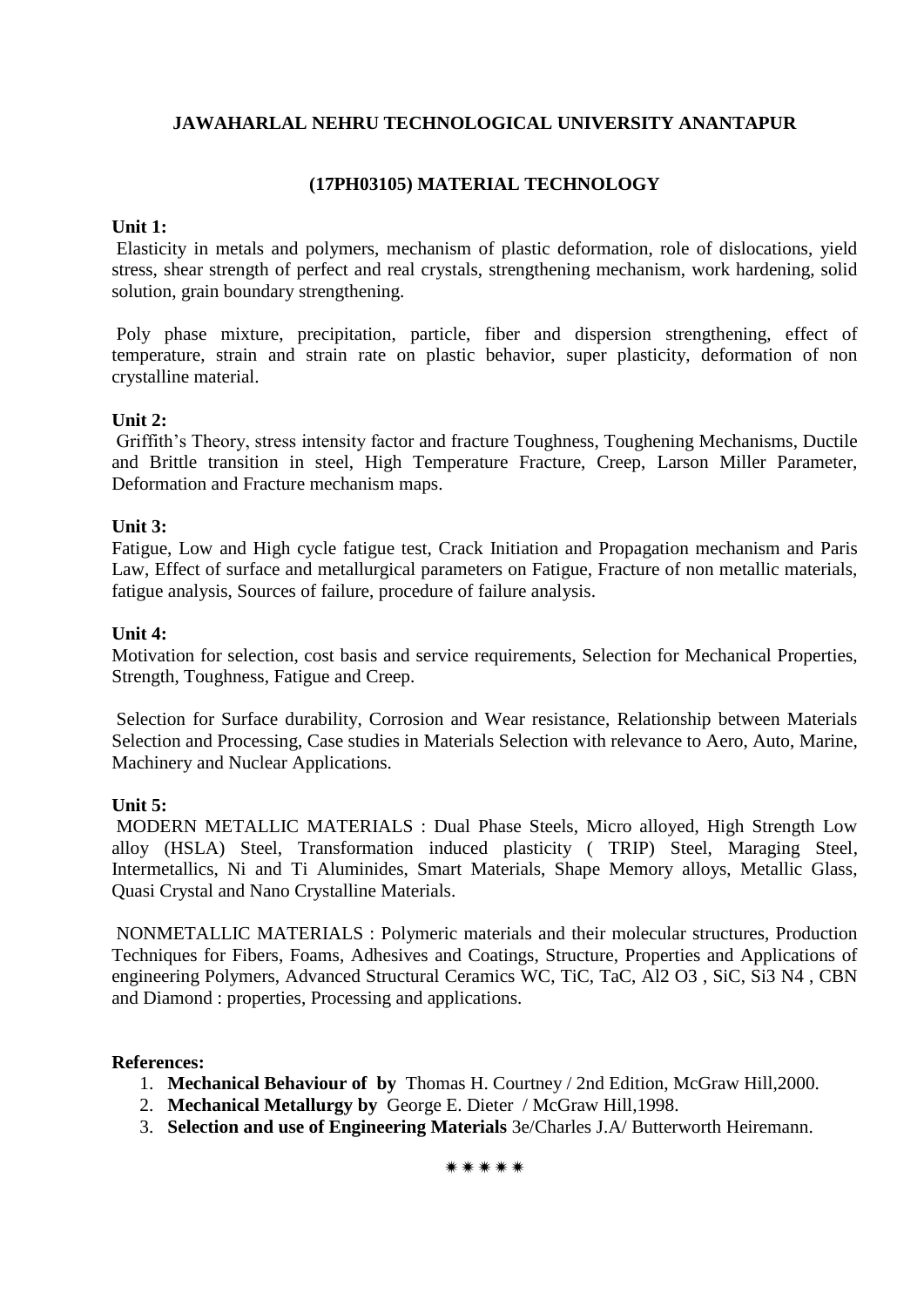#### **(17PH03105) MATERIAL TECHNOLOGY**

#### **Unit 1:**

Elasticity in metals and polymers, mechanism of plastic deformation, role of dislocations, yield stress, shear strength of perfect and real crystals, strengthening mechanism, work hardening, solid solution, grain boundary strengthening.

Poly phase mixture, precipitation, particle, fiber and dispersion strengthening, effect of temperature, strain and strain rate on plastic behavior, super plasticity, deformation of non crystalline material.

#### **Unit 2:**

Griffith's Theory, stress intensity factor and fracture Toughness, Toughening Mechanisms, Ductile and Brittle transition in steel, High Temperature Fracture, Creep, Larson Miller Parameter, Deformation and Fracture mechanism maps.

#### **Unit 3:**

Fatigue, Low and High cycle fatigue test, Crack Initiation and Propagation mechanism and Paris Law, Effect of surface and metallurgical parameters on Fatigue, Fracture of non metallic materials, fatigue analysis, Sources of failure, procedure of failure analysis.

#### **Unit 4:**

Motivation for selection, cost basis and service requirements, Selection for Mechanical Properties, Strength, Toughness, Fatigue and Creep.

Selection for Surface durability, Corrosion and Wear resistance, Relationship between Materials Selection and Processing, Case studies in Materials Selection with relevance to Aero, Auto, Marine, Machinery and Nuclear Applications.

#### **Unit 5:**

MODERN METALLIC MATERIALS : Dual Phase Steels, Micro alloyed, High Strength Low alloy (HSLA) Steel, Transformation induced plasticity ( TRIP) Steel, Maraging Steel, Intermetallics, Ni and Ti Aluminides, Smart Materials, Shape Memory alloys, Metallic Glass, Quasi Crystal and Nano Crystalline Materials.

NONMETALLIC MATERIALS : Polymeric materials and their molecular structures, Production Techniques for Fibers, Foams, Adhesives and Coatings, Structure, Properties and Applications of engineering Polymers, Advanced Structural Ceramics WC, TiC, TaC, Al2 O3 , SiC, Si3 N4 , CBN and Diamond : properties, Processing and applications.

#### **References:**

- 1. **Mechanical Behaviour of by** Thomas H. Courtney / 2nd Edition, McGraw Hill,2000.
- 2. **Mechanical Metallurgy by** George E. Dieter / McGraw Hill,1998.
- 3. **Selection and use of Engineering Materials** 3e/Charles J.A/ Butterworth Heiremann.

\*\*\*\*\*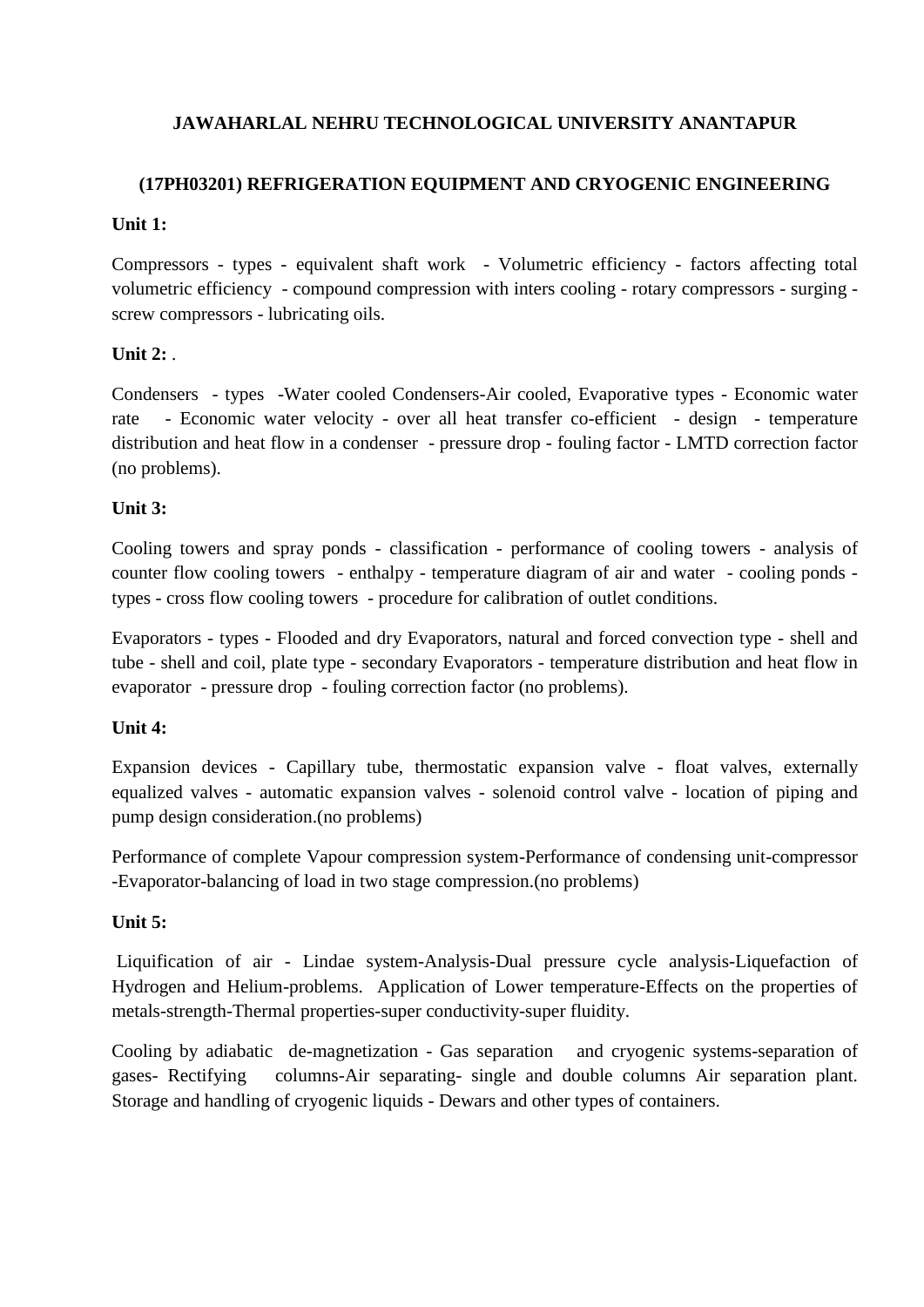# **(17PH03201) REFRIGERATION EQUIPMENT AND CRYOGENIC ENGINEERING**

#### **Unit 1:**

Compressors - types - equivalent shaft work - Volumetric efficiency - factors affecting total volumetric efficiency - compound compression with inters cooling - rotary compressors - surging screw compressors - lubricating oils.

# **Unit 2:**

Condensers - types -Water cooled Condensers-Air cooled, Evaporative types - Economic water rate - Economic water velocity - over all heat transfer co-efficient - design - temperature distribution and heat flow in a condenser - pressure drop - fouling factor - LMTD correction factor (no problems).

# **Unit 3:**

Cooling towers and spray ponds - classification - performance of cooling towers - analysis of counter flow cooling towers - enthalpy - temperature diagram of air and water - cooling ponds types - cross flow cooling towers - procedure for calibration of outlet conditions.

Evaporators - types - Flooded and dry Evaporators, natural and forced convection type - shell and tube - shell and coil, plate type - secondary Evaporators - temperature distribution and heat flow in evaporator - pressure drop - fouling correction factor (no problems).

# **Unit 4:**

Expansion devices - Capillary tube, thermostatic expansion valve - float valves, externally equalized valves - automatic expansion valves - solenoid control valve - location of piping and pump design consideration.(no problems)

Performance of complete Vapour compression system-Performance of condensing unit-compressor -Evaporator-balancing of load in two stage compression.(no problems)

# **Unit 5:**

Liquification of air - Lindae system-Analysis-Dual pressure cycle analysis-Liquefaction of Hydrogen and Helium-problems. Application of Lower temperature-Effects on the properties of metals-strength-Thermal properties-super conductivity-super fluidity.

Cooling by adiabatic de-magnetization - Gas separation and cryogenic systems-separation of gases- Rectifying columns-Air separating- single and double columns Air separation plant. Storage and handling of cryogenic liquids - Dewars and other types of containers.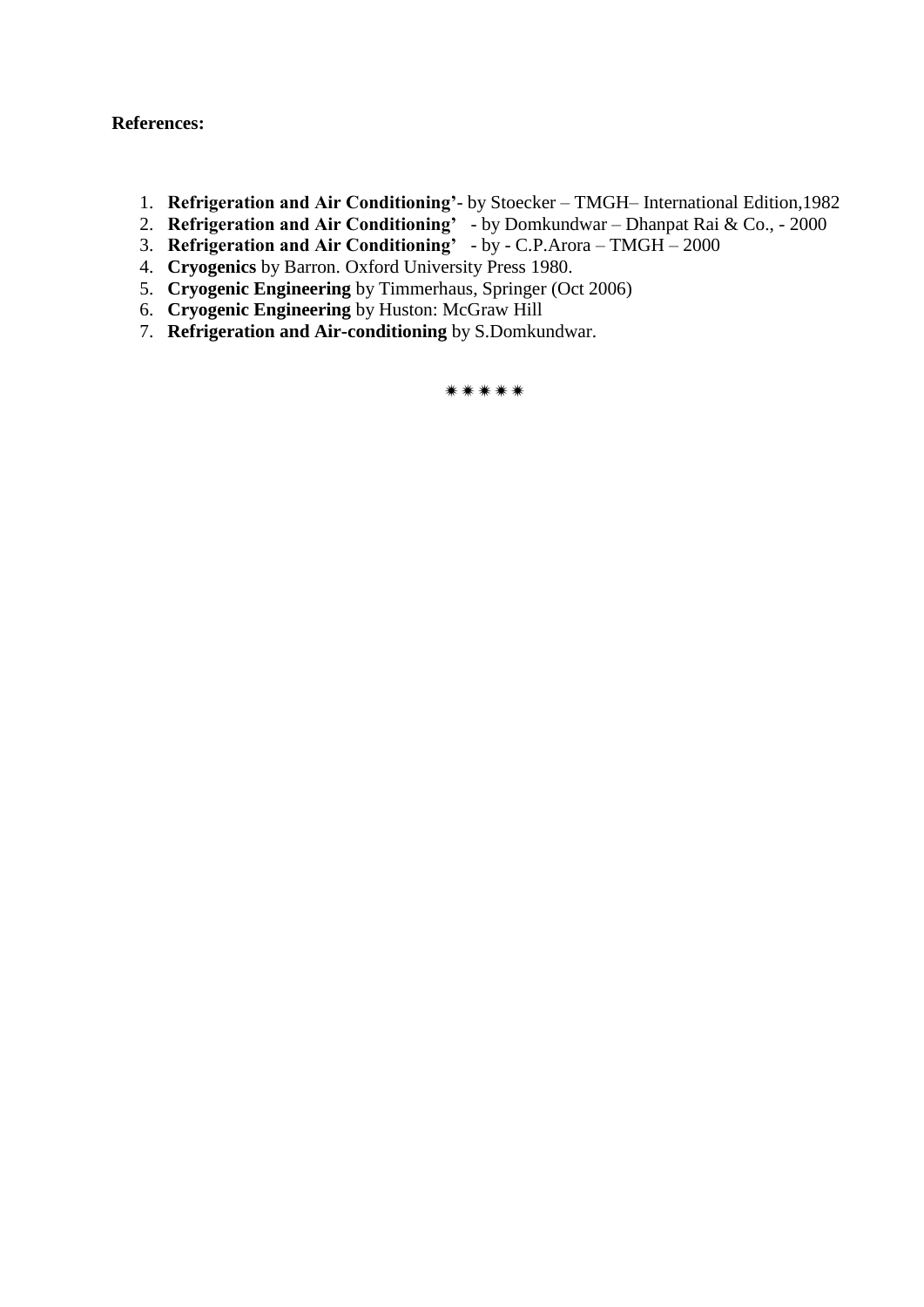#### **References:**

- 1. **Refrigeration and Air Conditioning'** by Stoecker TMGH– International Edition,1982
- 2. **Refrigeration and Air Conditioning'** by Domkundwar Dhanpat Rai & Co., 2000
- 3. **Refrigeration and Air Conditioning'** by C.P.Arora TMGH 2000
- 4. **Cryogenics** by Barron. Oxford University Press 1980.
- 5. **Cryogenic Engineering** by Timmerhaus, Springer (Oct 2006)
- 6. **Cryogenic Engineering** by Huston: McGraw Hill
- 7. **Refrigeration and Air-conditioning** by S.Domkundwar.

\*\*\*\*\*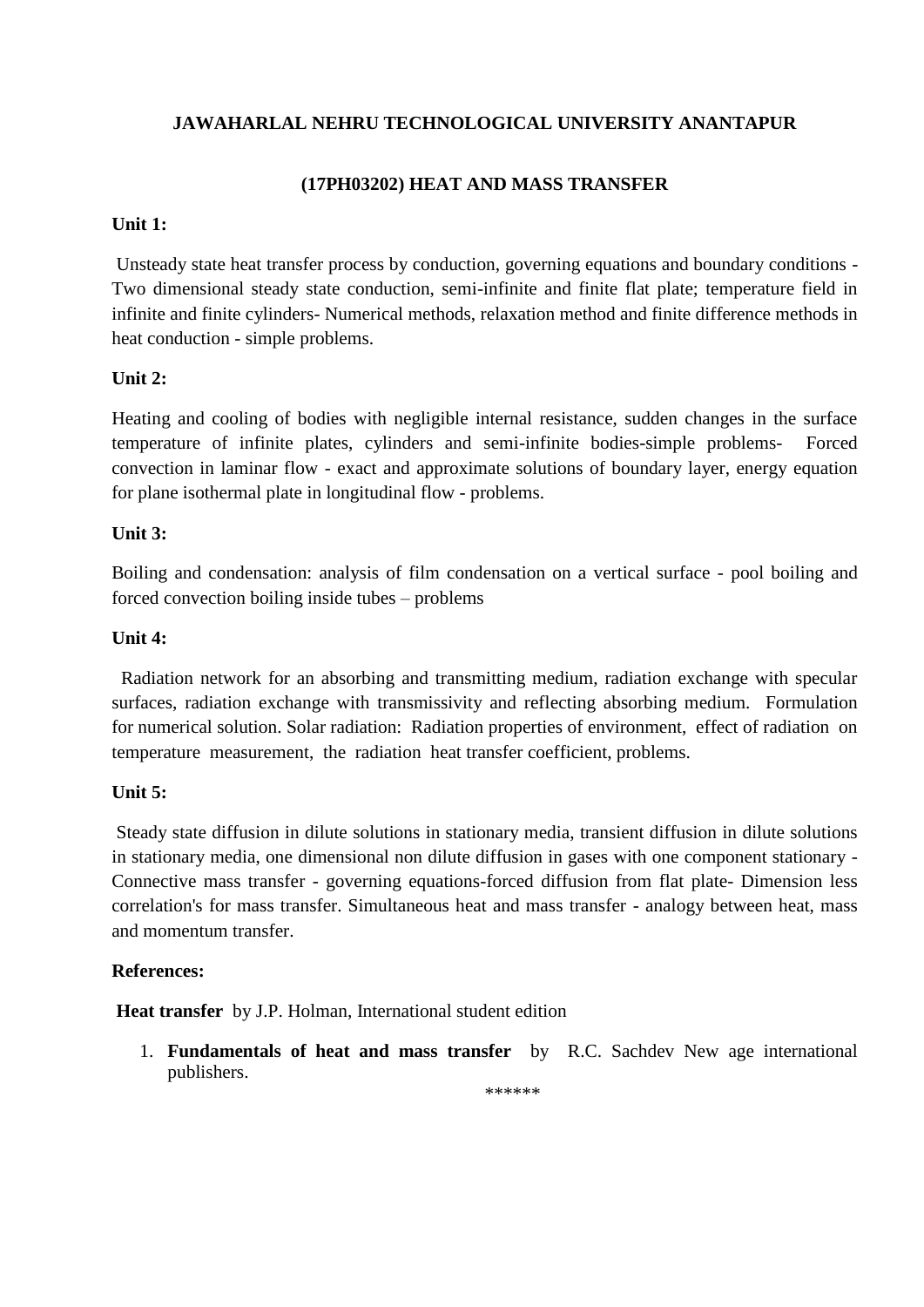# **(17PH03202) HEAT AND MASS TRANSFER**

# **Unit 1:**

Unsteady state heat transfer process by conduction, governing equations and boundary conditions - Two dimensional steady state conduction, semi-infinite and finite flat plate; temperature field in infinite and finite cylinders- Numerical methods, relaxation method and finite difference methods in heat conduction - simple problems.

# **Unit 2:**

Heating and cooling of bodies with negligible internal resistance, sudden changes in the surface temperature of infinite plates, cylinders and semi-infinite bodies-simple problems- Forced convection in laminar flow - exact and approximate solutions of boundary layer, energy equation for plane isothermal plate in longitudinal flow - problems.

# **Unit 3:**

Boiling and condensation: analysis of film condensation on a vertical surface - pool boiling and forced convection boiling inside tubes – problems

# **Unit 4:**

 Radiation network for an absorbing and transmitting medium, radiation exchange with specular surfaces, radiation exchange with transmissivity and reflecting absorbing medium. Formulation for numerical solution. Solar radiation: Radiation properties of environment, effect of radiation on temperature measurement, the radiation heat transfer coefficient, problems.

# **Unit 5:**

Steady state diffusion in dilute solutions in stationary media, transient diffusion in dilute solutions in stationary media, one dimensional non dilute diffusion in gases with one component stationary - Connective mass transfer - governing equations-forced diffusion from flat plate- Dimension less correlation's for mass transfer. Simultaneous heat and mass transfer - analogy between heat, mass and momentum transfer.

# **References:**

**Heat transfer** by J.P. Holman, International student edition

1. **Fundamentals of heat and mass transfer** by R.C. Sachdev New age international publishers.

\*\*\*\*\*\*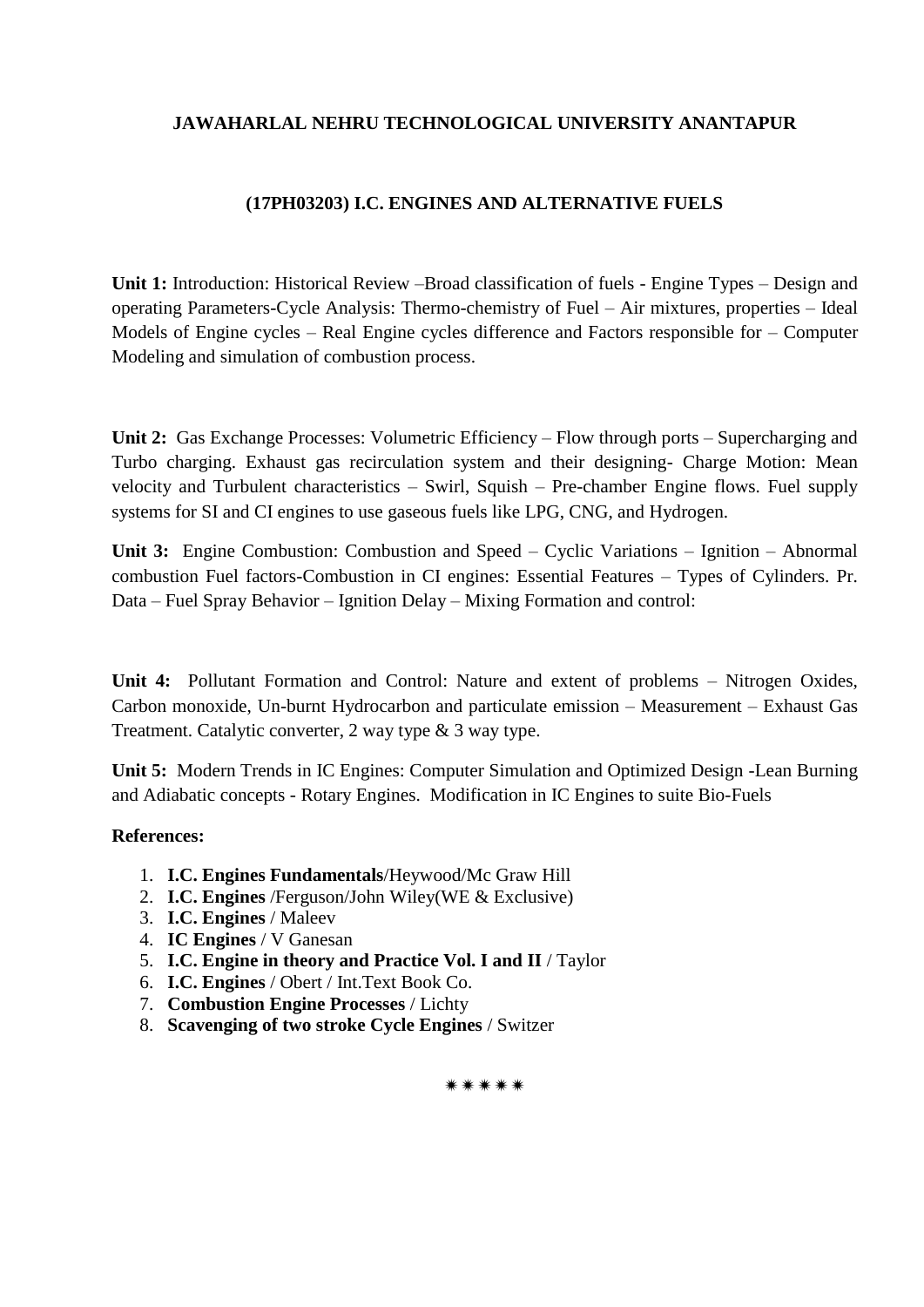# **(17PH03203) I.C. ENGINES AND ALTERNATIVE FUELS**

**Unit 1:** Introduction: Historical Review –Broad classification of fuels - Engine Types – Design and operating Parameters-Cycle Analysis: Thermo-chemistry of Fuel – Air mixtures, properties – Ideal Models of Engine cycles – Real Engine cycles difference and Factors responsible for – Computer Modeling and simulation of combustion process.

**Unit 2:** Gas Exchange Processes: Volumetric Efficiency – Flow through ports – Supercharging and Turbo charging. Exhaust gas recirculation system and their designing- Charge Motion: Mean velocity and Turbulent characteristics – Swirl, Squish – Pre-chamber Engine flows. Fuel supply systems for SI and CI engines to use gaseous fuels like LPG, CNG, and Hydrogen.

**Unit 3:** Engine Combustion: Combustion and Speed – Cyclic Variations – Ignition – Abnormal combustion Fuel factors-Combustion in CI engines: Essential Features – Types of Cylinders. Pr. Data – Fuel Spray Behavior – Ignition Delay – Mixing Formation and control:

**Unit 4:** Pollutant Formation and Control: Nature and extent of problems – Nitrogen Oxides, Carbon monoxide, Un-burnt Hydrocarbon and particulate emission – Measurement – Exhaust Gas Treatment. Catalytic converter, 2 way type & 3 way type.

**Unit 5:** Modern Trends in IC Engines: Computer Simulation and Optimized Design -Lean Burning and Adiabatic concepts - Rotary Engines. Modification in IC Engines to suite Bio-Fuels

#### **References:**

- 1. **I.C. Engines Fundamentals**/Heywood/Mc Graw Hill
- 2. **I.C. Engines** /Ferguson/John Wiley(WE & Exclusive)
- 3. **I.C. Engines** / Maleev
- 4. **IC Engines** / V Ganesan
- 5. **I.C. Engine in theory and Practice Vol. I and II** / Taylor
- 6. **I.C. Engines** / Obert / Int.Text Book Co.
- 7. **Combustion Engine Processes** / Lichty
- 8. **Scavenging of two stroke Cycle Engines** / Switzer

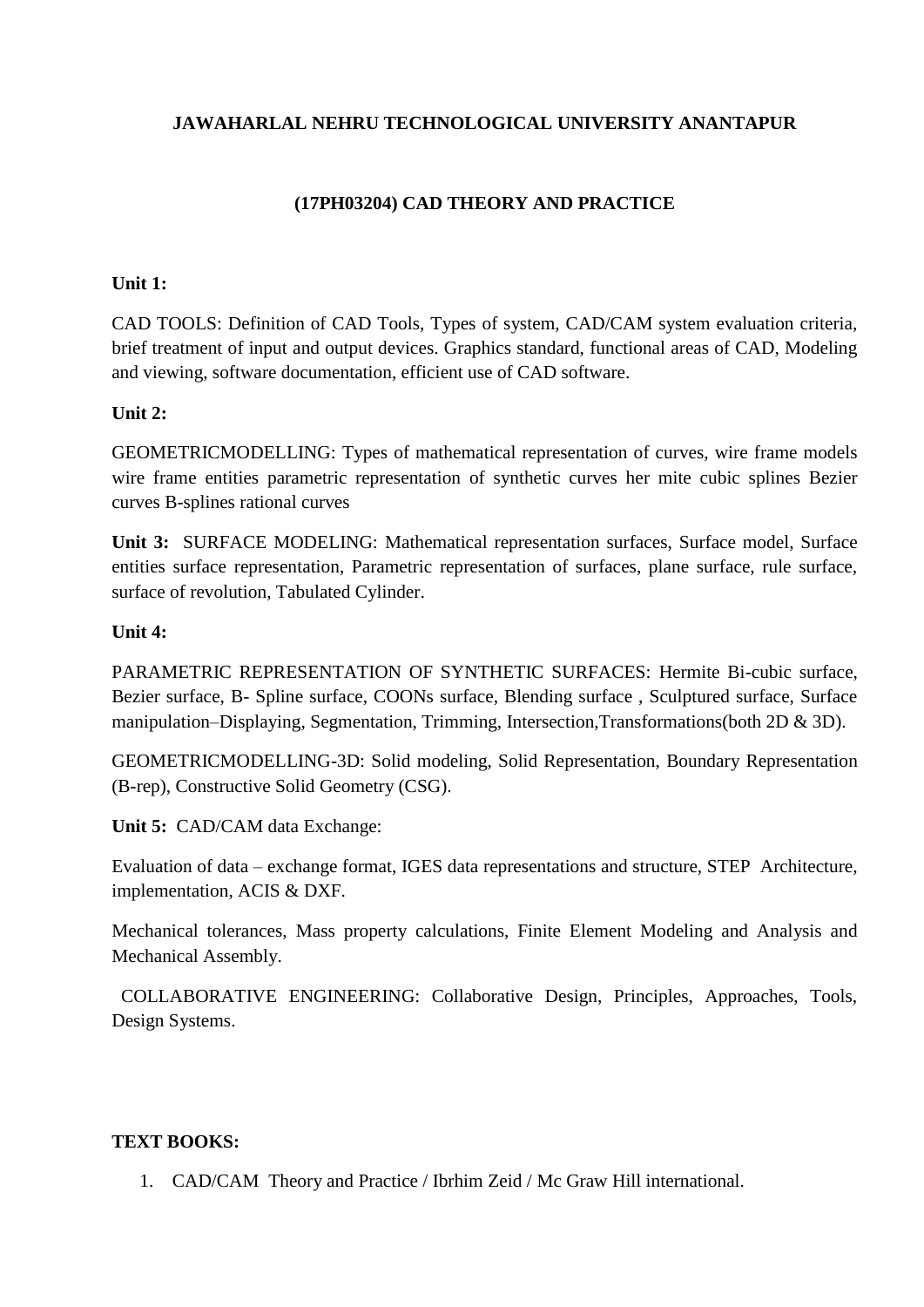# **(17PH03204) CAD THEORY AND PRACTICE**

# **Unit 1:**

CAD TOOLS: Definition of CAD Tools, Types of system, CAD/CAM system evaluation criteria, brief treatment of input and output devices. Graphics standard, functional areas of CAD, Modeling and viewing, software documentation, efficient use of CAD software.

# **Unit 2:**

GEOMETRICMODELLING: Types of mathematical representation of curves, wire frame models wire frame entities parametric representation of synthetic curves her mite cubic splines Bezier curves B-splines rational curves

**Unit 3:** SURFACE MODELING: Mathematical representation surfaces, Surface model, Surface entities surface representation, Parametric representation of surfaces, plane surface, rule surface, surface of revolution, Tabulated Cylinder.

# **Unit 4:**

PARAMETRIC REPRESENTATION OF SYNTHETIC SURFACES: Hermite Bi-cubic surface, Bezier surface, B- Spline surface, COONs surface, Blending surface , Sculptured surface, Surface manipulation–Displaying, Segmentation, Trimming, Intersection,Transformations(both 2D & 3D).

GEOMETRICMODELLING-3D: Solid modeling, Solid Representation, Boundary Representation (B-rep), Constructive Solid Geometry (CSG).

**Unit 5:** CAD/CAM data Exchange:

Evaluation of data – exchange format, IGES data representations and structure, STEP Architecture, implementation, ACIS & DXF.

Mechanical tolerances, Mass property calculations, Finite Element Modeling and Analysis and Mechanical Assembly.

 COLLABORATIVE ENGINEERING: Collaborative Design, Principles, Approaches, Tools, Design Systems.

# **TEXT BOOKS:**

1. CAD/CAM Theory and Practice / Ibrhim Zeid / Mc Graw Hill international.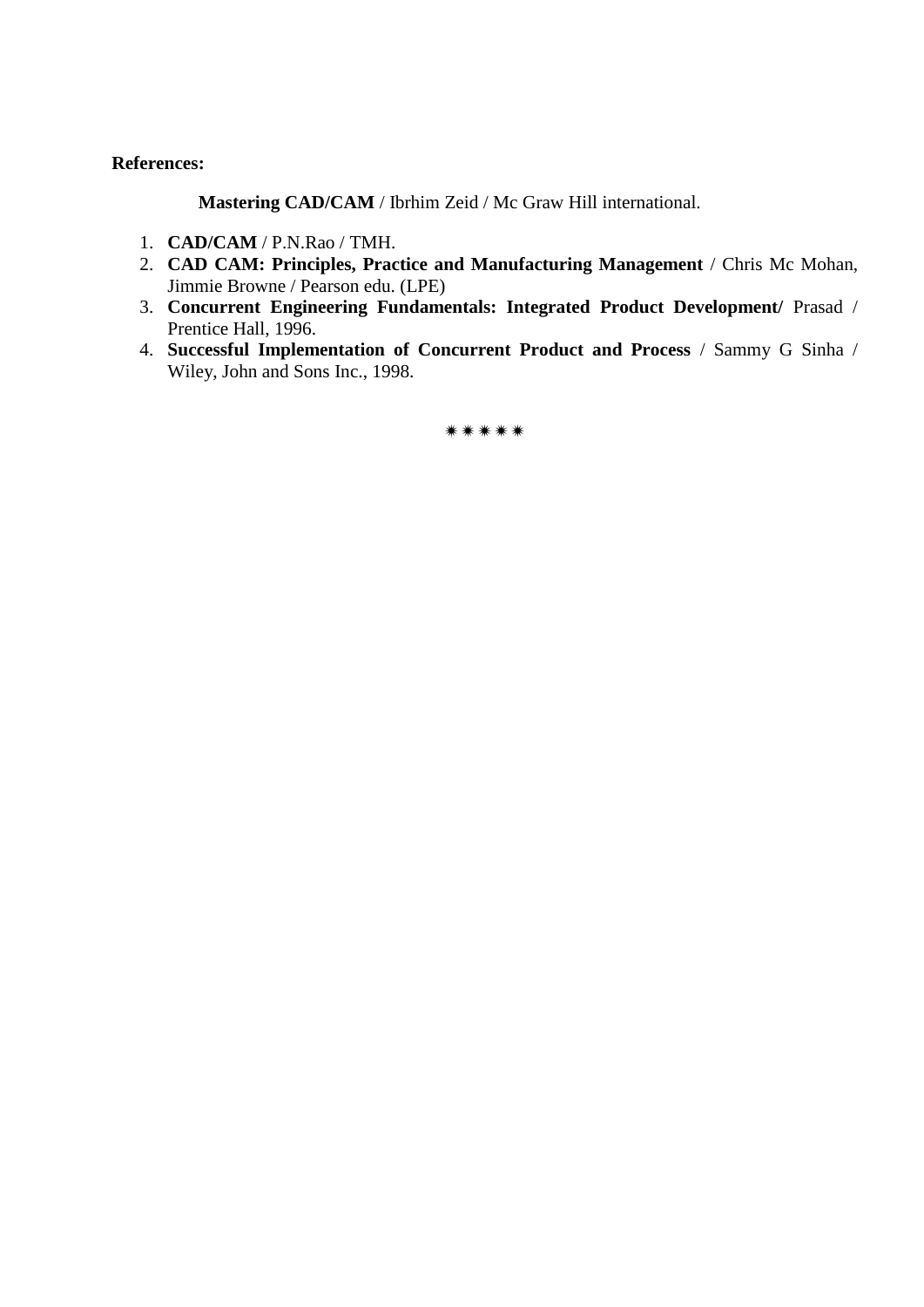#### **References:**

**Mastering CAD/CAM** / Ibrhim Zeid / Mc Graw Hill international.

- 1. **CAD/CAM** / P.N.Rao / TMH.
- 2. **CAD CAM: Principles, Practice and Manufacturing Management** / Chris Mc Mohan, Jimmie Browne / Pearson edu. (LPE)
- 3. **Concurrent Engineering Fundamentals: Integrated Product Development/** Prasad / Prentice Hall, 1996.
- 4. **Successful Implementation of Concurrent Product and Process** / Sammy G Sinha / Wiley, John and Sons Inc., 1998.

\*\*\*\*\*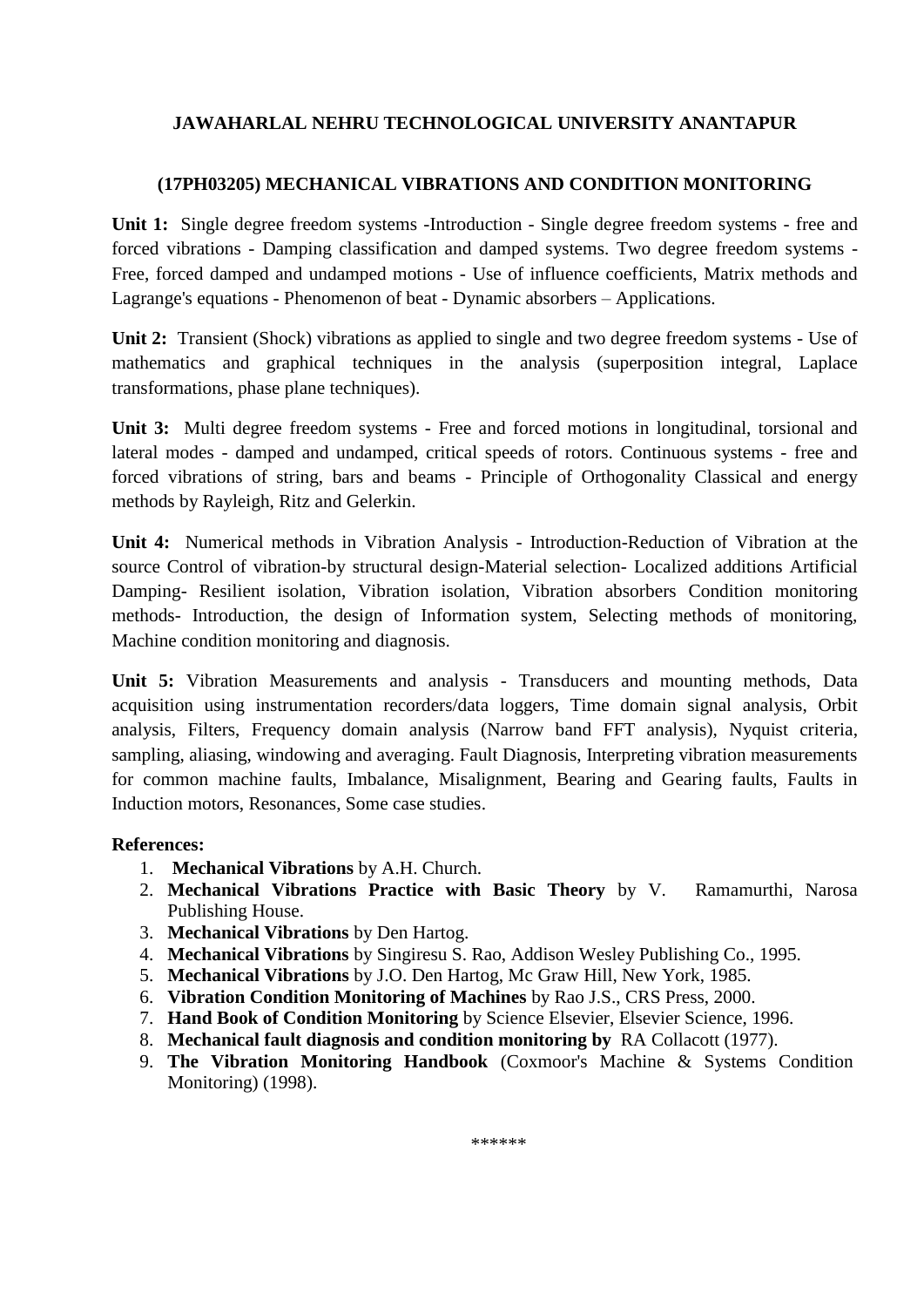# **(17PH03205) MECHANICAL VIBRATIONS AND CONDITION MONITORING**

**Unit 1:** Single degree freedom systems -Introduction - Single degree freedom systems - free and forced vibrations - Damping classification and damped systems. Two degree freedom systems - Free, forced damped and undamped motions - Use of influence coefficients, Matrix methods and Lagrange's equations - Phenomenon of beat - Dynamic absorbers – Applications.

**Unit 2:** Transient (Shock) vibrations as applied to single and two degree freedom systems - Use of mathematics and graphical techniques in the analysis (superposition integral, Laplace transformations, phase plane techniques).

**Unit 3:** Multi degree freedom systems - Free and forced motions in longitudinal, torsional and lateral modes - damped and undamped, critical speeds of rotors. Continuous systems - free and forced vibrations of string, bars and beams - Principle of Orthogonality Classical and energy methods by Rayleigh, Ritz and Gelerkin.

**Unit 4:** Numerical methods in Vibration Analysis - Introduction-Reduction of Vibration at the source Control of vibration-by structural design-Material selection- Localized additions Artificial Damping- Resilient isolation, Vibration isolation, Vibration absorbers Condition monitoring methods- Introduction, the design of Information system, Selecting methods of monitoring, Machine condition monitoring and diagnosis.

**Unit 5:** Vibration Measurements and analysis - Transducers and mounting methods, Data acquisition using instrumentation recorders/data loggers, Time domain signal analysis, Orbit analysis, Filters, Frequency domain analysis (Narrow band FFT analysis), Nyquist criteria, sampling, aliasing, windowing and averaging. Fault Diagnosis, Interpreting vibration measurements for common machine faults, Imbalance, Misalignment, Bearing and Gearing faults, Faults in Induction motors, Resonances, Some case studies.

#### **References:**

- 1. **Mechanical Vibrations** by A.H. Church.
- 2. **Mechanical Vibrations Practice with Basic Theory** by V. Ramamurthi, Narosa Publishing House.
- 3. **Mechanical Vibrations** by Den Hartog.
- 4. **Mechanical Vibrations** by Singiresu S. Rao, Addison Wesley Publishing Co., 1995.
- 5. **Mechanical Vibrations** by J.O. Den Hartog, Mc Graw Hill, New York, 1985.
- 6. **Vibration Condition Monitoring of Machines** by Rao J.S., CRS Press, 2000.
- 7. **Hand Book of Condition Monitoring** by Science Elsevier, Elsevier Science, 1996.
- 8. **Mechanical fault diagnosis and condition monitoring by** RA Collacott (1977).
- 9. **The Vibration Monitoring Handbook** (Coxmoor's Machine & Systems Condition Monitoring) (1998).

\*\*\*\*\*\*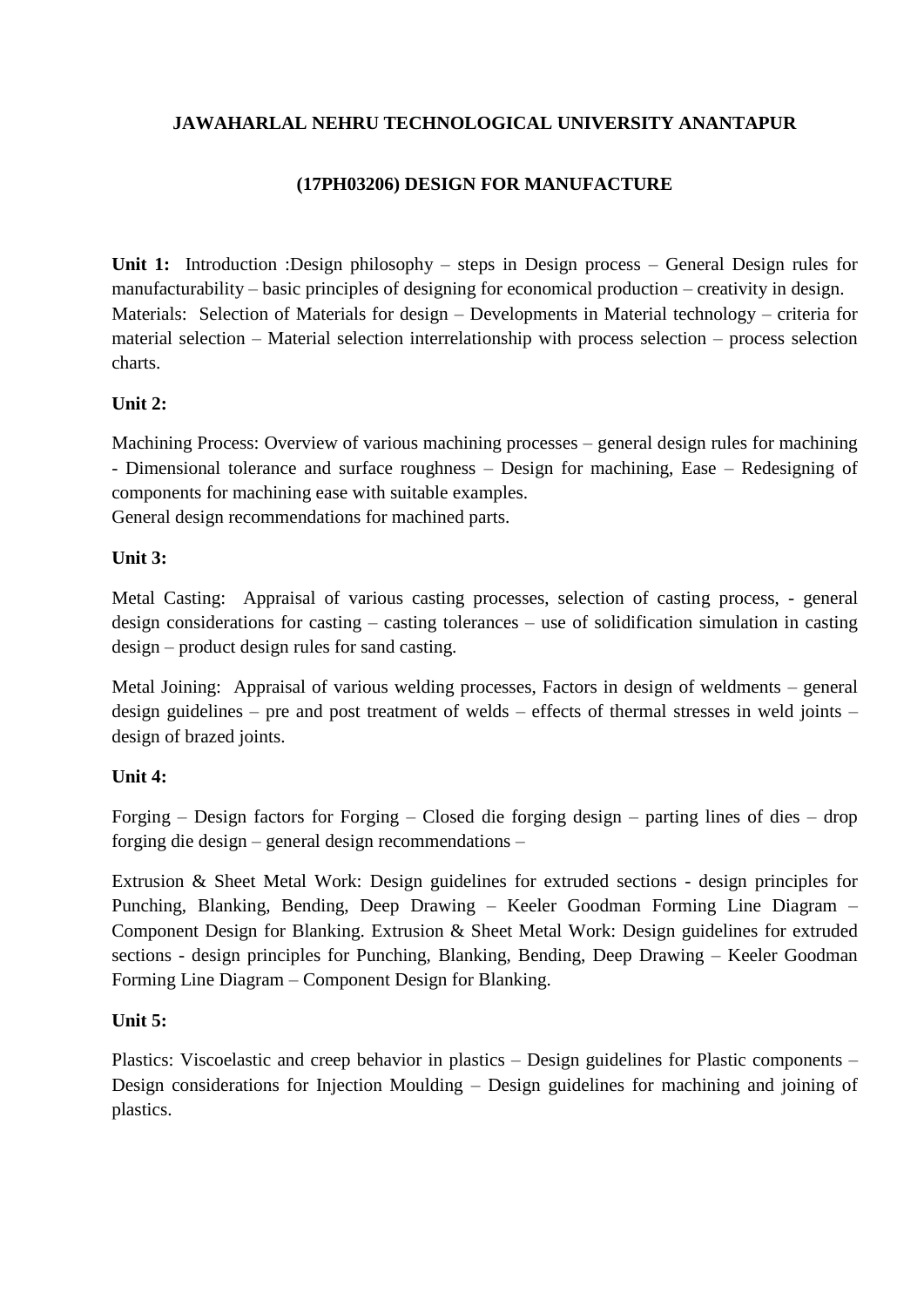# **(17PH03206) DESIGN FOR MANUFACTURE**

**Unit 1:** Introduction :Design philosophy – steps in Design process – General Design rules for manufacturability – basic principles of designing for economical production – creativity in design. Materials: Selection of Materials for design – Developments in Material technology – criteria for material selection – Material selection interrelationship with process selection – process selection charts.

# **Unit 2:**

Machining Process: Overview of various machining processes – general design rules for machining - Dimensional tolerance and surface roughness – Design for machining, Ease – Redesigning of components for machining ease with suitable examples. General design recommendations for machined parts.

# **Unit 3:**

Metal Casting: Appraisal of various casting processes, selection of casting process, - general design considerations for casting – casting tolerances – use of solidification simulation in casting design – product design rules for sand casting.

Metal Joining: Appraisal of various welding processes, Factors in design of weldments – general design guidelines – pre and post treatment of welds – effects of thermal stresses in weld joints – design of brazed joints.

# **Unit 4:**

Forging – Design factors for Forging – Closed die forging design – parting lines of dies – drop forging die design – general design recommendations –

Extrusion & Sheet Metal Work: Design guidelines for extruded sections - design principles for Punching, Blanking, Bending, Deep Drawing – Keeler Goodman Forming Line Diagram – Component Design for Blanking. Extrusion & Sheet Metal Work: Design guidelines for extruded sections - design principles for Punching, Blanking, Bending, Deep Drawing – Keeler Goodman Forming Line Diagram – Component Design for Blanking.

# **Unit 5:**

Plastics: Viscoelastic and creep behavior in plastics – Design guidelines for Plastic components – Design considerations for Injection Moulding – Design guidelines for machining and joining of plastics.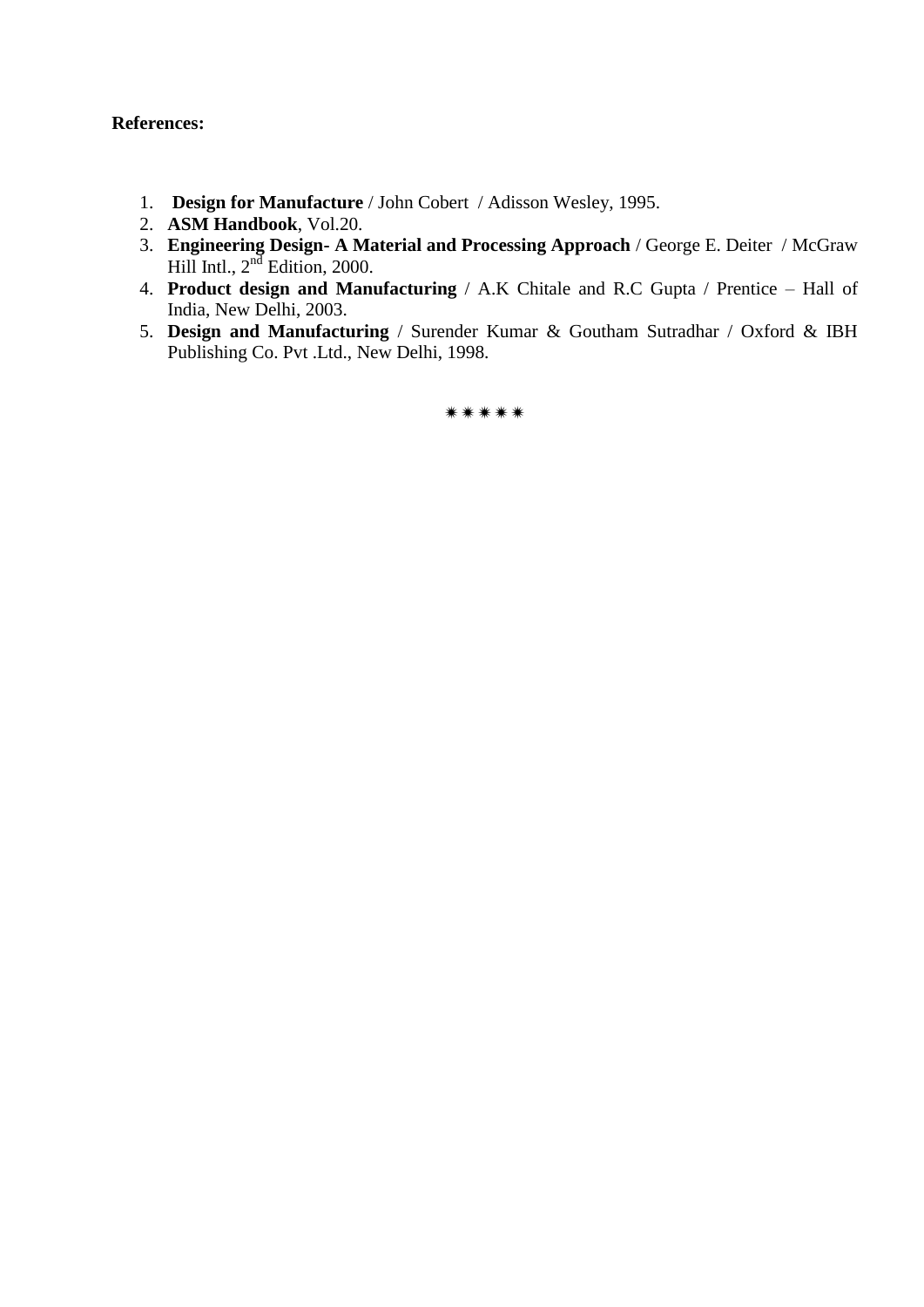# **References:**

- 1. **Design for Manufacture** / John Cobert / Adisson Wesley, 1995.
- 2. **ASM Handbook**, Vol.20.
- 3. **Engineering Design- A Material and Processing Approach** / George E. Deiter / McGraw Hill Intl.,  $2<sup>nd</sup>$  Edition, 2000.
- 4. **Product design and Manufacturing** / A.K Chitale and R.C Gupta / Prentice Hall of India, New Delhi, 2003.
- 5. **Design and Manufacturing** / Surender Kumar & Goutham Sutradhar / Oxford & IBH Publishing Co. Pvt .Ltd., New Delhi, 1998.

\*\*\*\*\*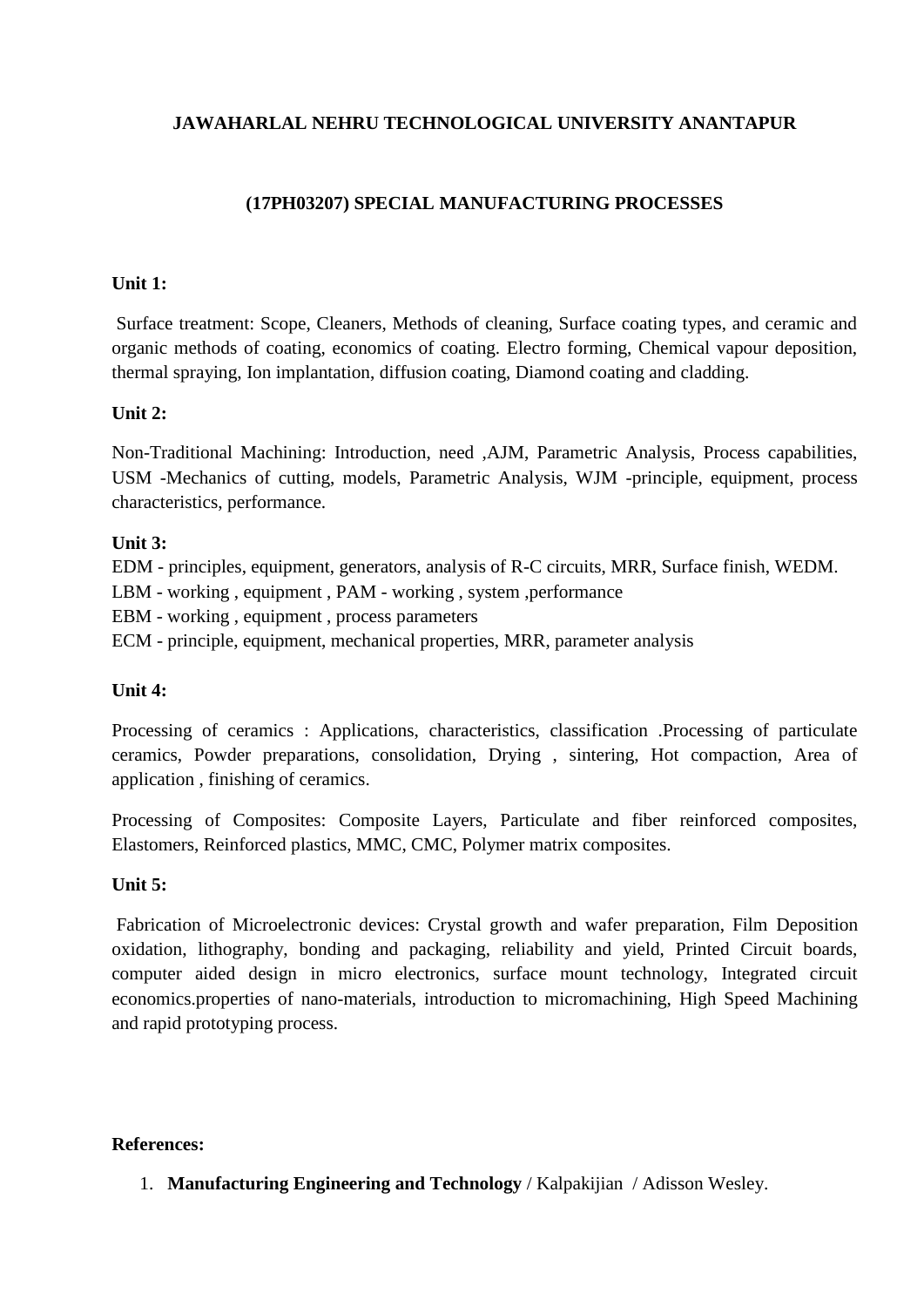# **(17PH03207) SPECIAL MANUFACTURING PROCESSES**

#### **Unit 1:**

Surface treatment: Scope, Cleaners, Methods of cleaning, Surface coating types, and ceramic and organic methods of coating, economics of coating. Electro forming, Chemical vapour deposition, thermal spraying, Ion implantation, diffusion coating, Diamond coating and cladding.

#### **Unit 2:**

Non-Traditional Machining: Introduction, need ,AJM, Parametric Analysis, Process capabilities, USM -Mechanics of cutting, models, Parametric Analysis, WJM -principle, equipment, process characteristics, performance.

# **Unit 3:**

EDM - principles, equipment, generators, analysis of R-C circuits, MRR, Surface finish, WEDM.

LBM - working , equipment , PAM - working , system ,performance

EBM - working , equipment , process parameters

ECM - principle, equipment, mechanical properties, MRR, parameter analysis

# **Unit 4:**

Processing of ceramics : Applications, characteristics, classification .Processing of particulate ceramics, Powder preparations, consolidation, Drying , sintering, Hot compaction, Area of application , finishing of ceramics.

Processing of Composites: Composite Layers, Particulate and fiber reinforced composites, Elastomers, Reinforced plastics, MMC, CMC, Polymer matrix composites.

#### **Unit 5:**

Fabrication of Microelectronic devices: Crystal growth and wafer preparation, Film Deposition oxidation, lithography, bonding and packaging, reliability and yield, Printed Circuit boards, computer aided design in micro electronics, surface mount technology, Integrated circuit economics.properties of nano-materials, introduction to micromachining, High Speed Machining and rapid prototyping process.

#### **References:**

1. **Manufacturing Engineering and Technology** / Kalpakijian / Adisson Wesley.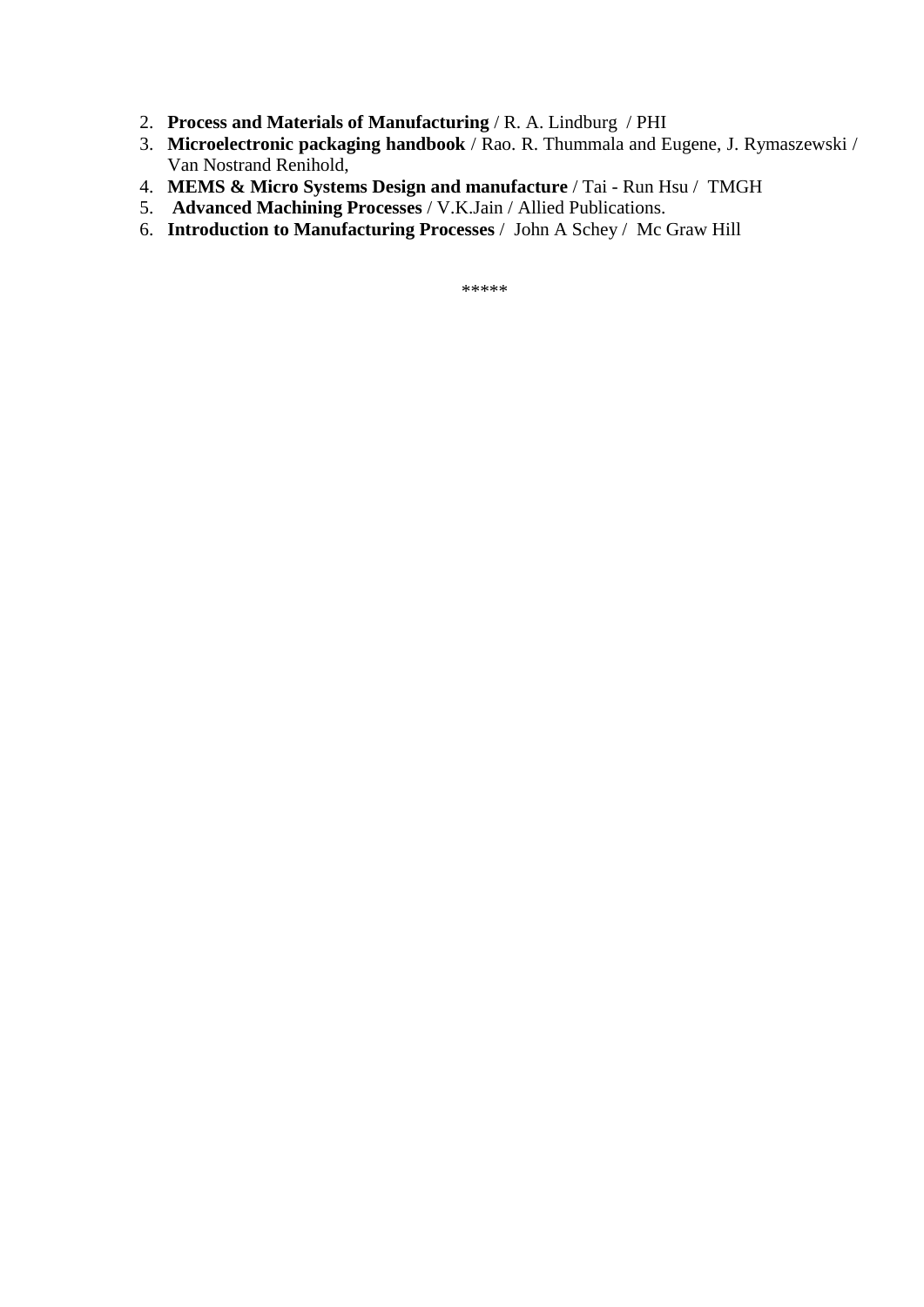- 2. **Process and Materials of Manufacturing** / R. A. Lindburg / PHI
- 3. **Microelectronic packaging handbook** / Rao. R. Thummala and Eugene, J. Rymaszewski / Van Nostrand Renihold,
- 4. **MEMS & Micro Systems Design and manufacture** / Tai Run Hsu / TMGH
- 5. **Advanced Machining Processes** / V.K.Jain / Allied Publications.
- 6. **Introduction to Manufacturing Processes** / John A Schey / Mc Graw Hill

\*\*\*\*\*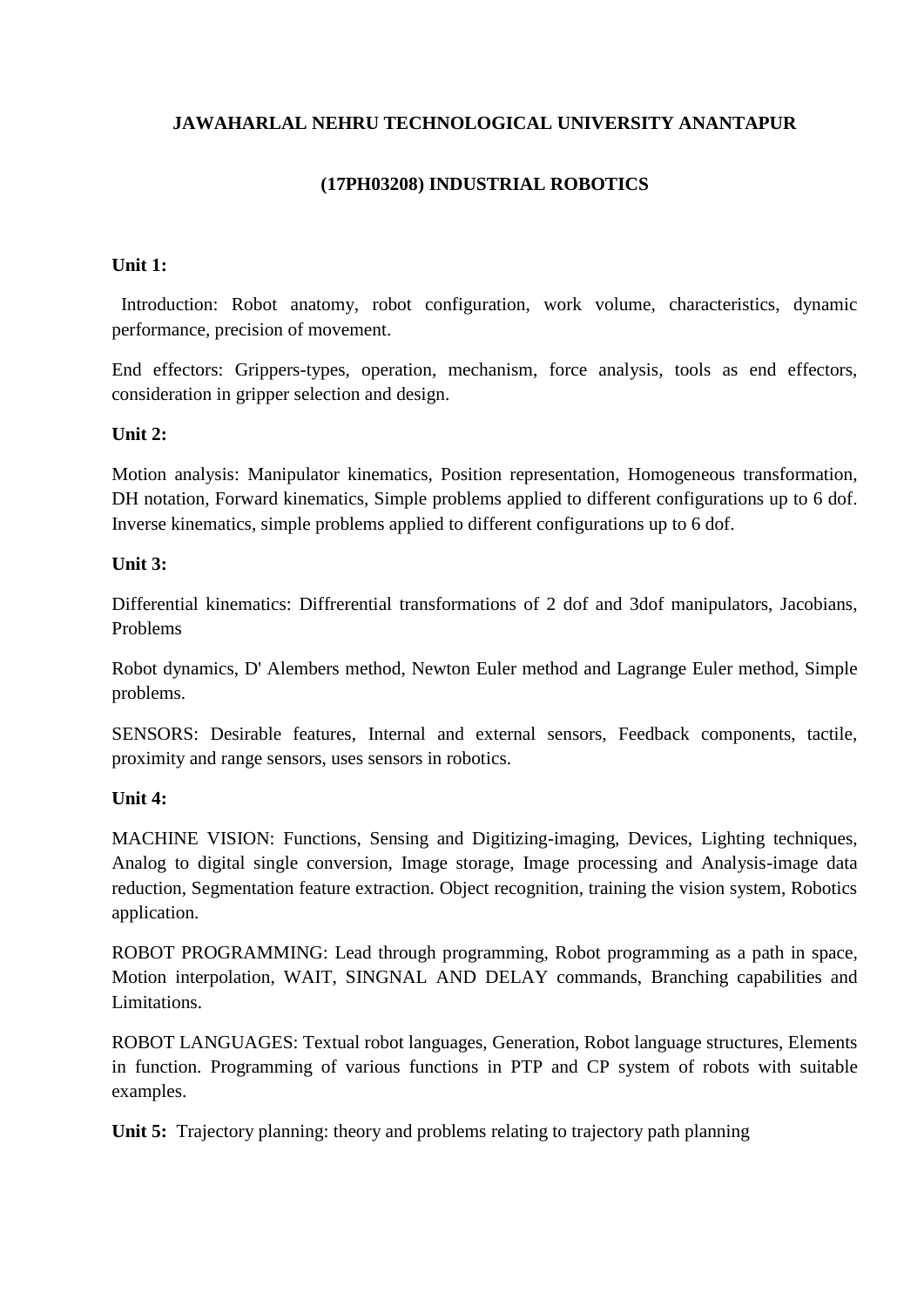# **(17PH03208) INDUSTRIAL ROBOTICS**

#### **Unit 1:**

 Introduction: Robot anatomy, robot configuration, work volume, characteristics, dynamic performance, precision of movement.

End effectors: Grippers-types, operation, mechanism, force analysis, tools as end effectors, consideration in gripper selection and design.

#### **Unit 2:**

Motion analysis: Manipulator kinematics, Position representation, Homogeneous transformation, DH notation, Forward kinematics, Simple problems applied to different configurations up to 6 dof. Inverse kinematics, simple problems applied to different configurations up to 6 dof.

#### **Unit 3:**

Differential kinematics: Diffrerential transformations of 2 dof and 3dof manipulators, Jacobians, Problems

Robot dynamics, D' Alembers method, Newton Euler method and Lagrange Euler method, Simple problems.

SENSORS: Desirable features, Internal and external sensors, Feedback components, tactile, proximity and range sensors, uses sensors in robotics.

# **Unit 4:**

MACHINE VISION: Functions, Sensing and Digitizing-imaging, Devices, Lighting techniques, Analog to digital single conversion, Image storage, Image processing and Analysis-image data reduction, Segmentation feature extraction. Object recognition, training the vision system, Robotics application.

ROBOT PROGRAMMING: Lead through programming, Robot programming as a path in space, Motion interpolation, WAIT, SINGNAL AND DELAY commands, Branching capabilities and Limitations.

ROBOT LANGUAGES: Textual robot languages, Generation, Robot language structures, Elements in function. Programming of various functions in PTP and CP system of robots with suitable examples.

**Unit 5:** Trajectory planning: theory and problems relating to trajectory path planning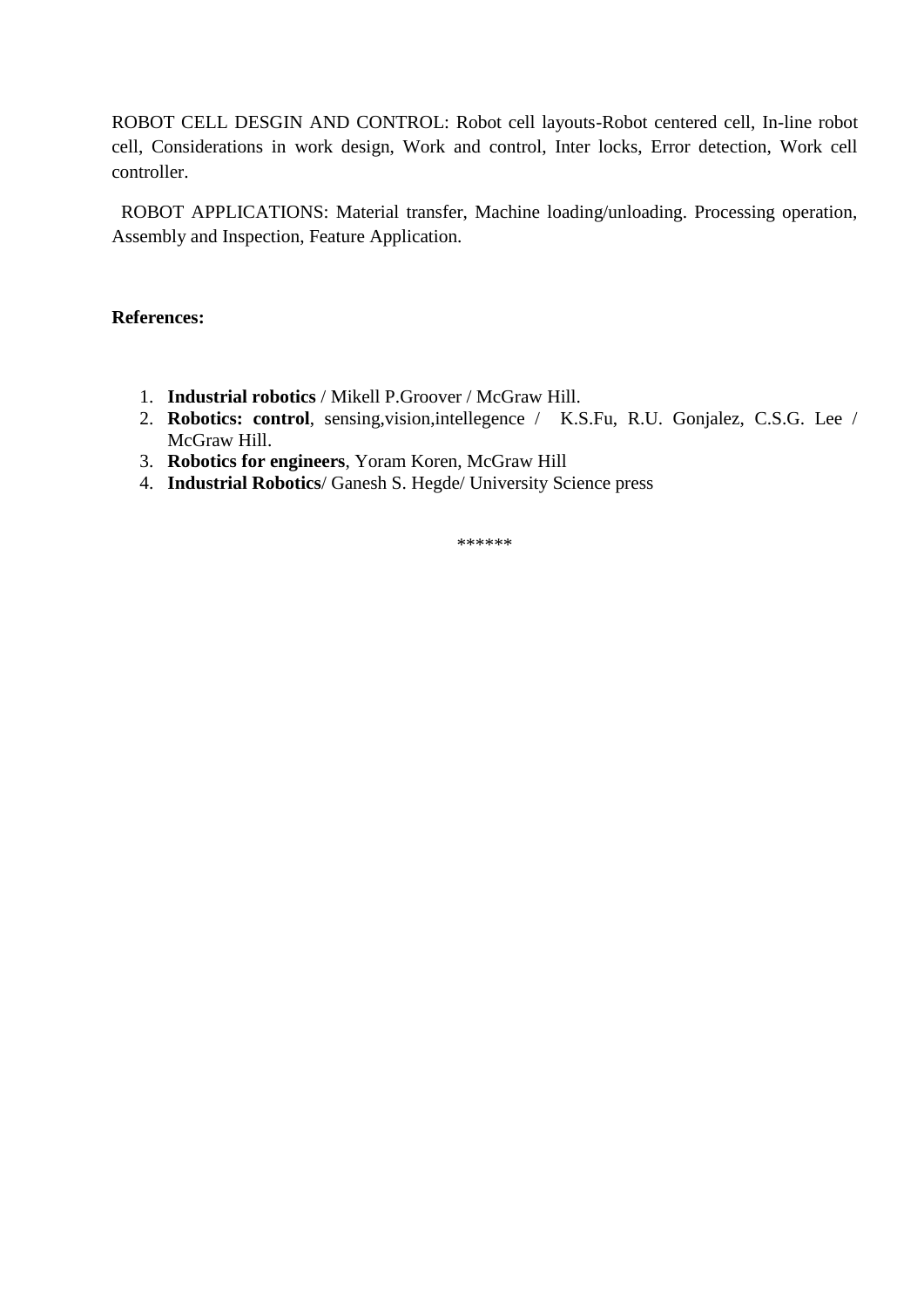ROBOT CELL DESGIN AND CONTROL: Robot cell layouts-Robot centered cell, In-line robot cell, Considerations in work design, Work and control, Inter locks, Error detection, Work cell controller.

 ROBOT APPLICATIONS: Material transfer, Machine loading/unloading. Processing operation, Assembly and Inspection, Feature Application.

#### **References:**

- 1. **Industrial robotics** / Mikell P.Groover / McGraw Hill.
- 2. **Robotics: control**, sensing,vision,intellegence / K.S.Fu, R.U. Gonjalez, C.S.G. Lee / McGraw Hill.
- 3. **Robotics for engineers**, Yoram Koren, McGraw Hill
- 4. **Industrial Robotics**/ Ganesh S. Hegde/ University Science press

\*\*\*\*\*\*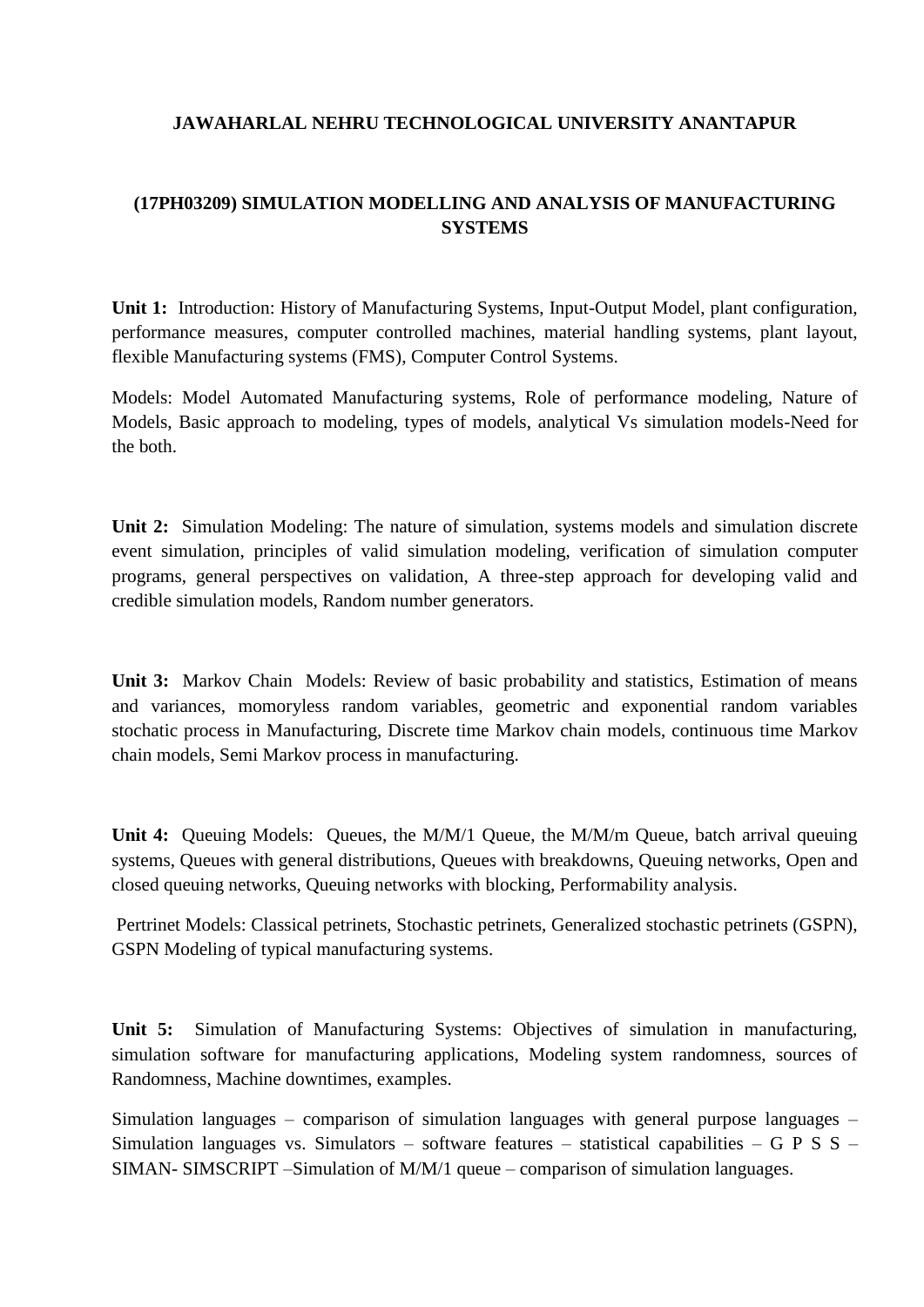# **(17PH03209) SIMULATION MODELLING AND ANALYSIS OF MANUFACTURING SYSTEMS**

**Unit 1:** Introduction: History of Manufacturing Systems, Input-Output Model, plant configuration, performance measures, computer controlled machines, material handling systems, plant layout, flexible Manufacturing systems (FMS), Computer Control Systems.

Models: Model Automated Manufacturing systems, Role of performance modeling, Nature of Models, Basic approach to modeling, types of models, analytical Vs simulation models-Need for the both.

**Unit 2:** Simulation Modeling: The nature of simulation, systems models and simulation discrete event simulation, principles of valid simulation modeling, verification of simulation computer programs, general perspectives on validation, A three-step approach for developing valid and credible simulation models, Random number generators.

**Unit 3:** Markov Chain Models: Review of basic probability and statistics, Estimation of means and variances, momoryless random variables, geometric and exponential random variables stochatic process in Manufacturing, Discrete time Markov chain models, continuous time Markov chain models, Semi Markov process in manufacturing.

**Unit 4:** Queuing Models: Queues, the M/M/1 Queue, the M/M/m Queue, batch arrival queuing systems, Queues with general distributions, Queues with breakdowns, Queuing networks, Open and closed queuing networks, Queuing networks with blocking, Performability analysis.

Pertrinet Models: Classical petrinets, Stochastic petrinets, Generalized stochastic petrinets (GSPN), GSPN Modeling of typical manufacturing systems.

**Unit 5:** Simulation of Manufacturing Systems: Objectives of simulation in manufacturing, simulation software for manufacturing applications, Modeling system randomness, sources of Randomness, Machine downtimes, examples.

Simulation languages – comparison of simulation languages with general purpose languages – Simulation languages vs. Simulators – software features – statistical capabilities – G P S S – SIMAN- SIMSCRIPT –Simulation of M/M/1 queue – comparison of simulation languages.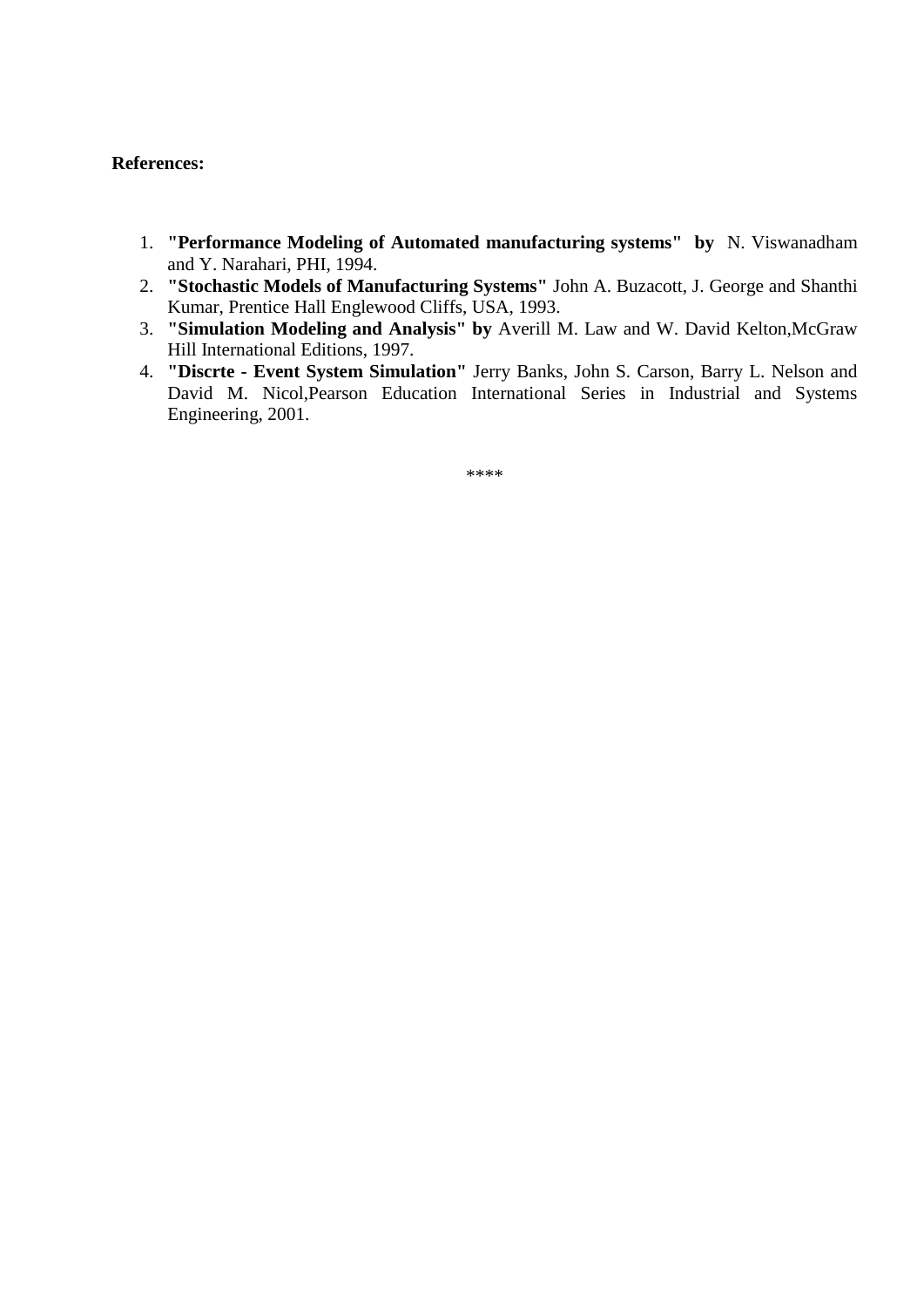#### **References:**

- 1. **"Performance Modeling of Automated manufacturing systems" by** N. Viswanadham and Y. Narahari, PHI, 1994.
- 2. **"Stochastic Models of Manufacturing Systems"** John A. Buzacott, J. George and Shanthi Kumar, Prentice Hall Englewood Cliffs, USA, 1993.
- 3. **"Simulation Modeling and Analysis" by** Averill M. Law and W. David Kelton,McGraw Hill International Editions, 1997.
- 4. **"Discrte - Event System Simulation"** Jerry Banks, John S. Carson, Barry L. Nelson and David M. Nicol,Pearson Education International Series in Industrial and Systems Engineering, 2001.

\*\*\*\*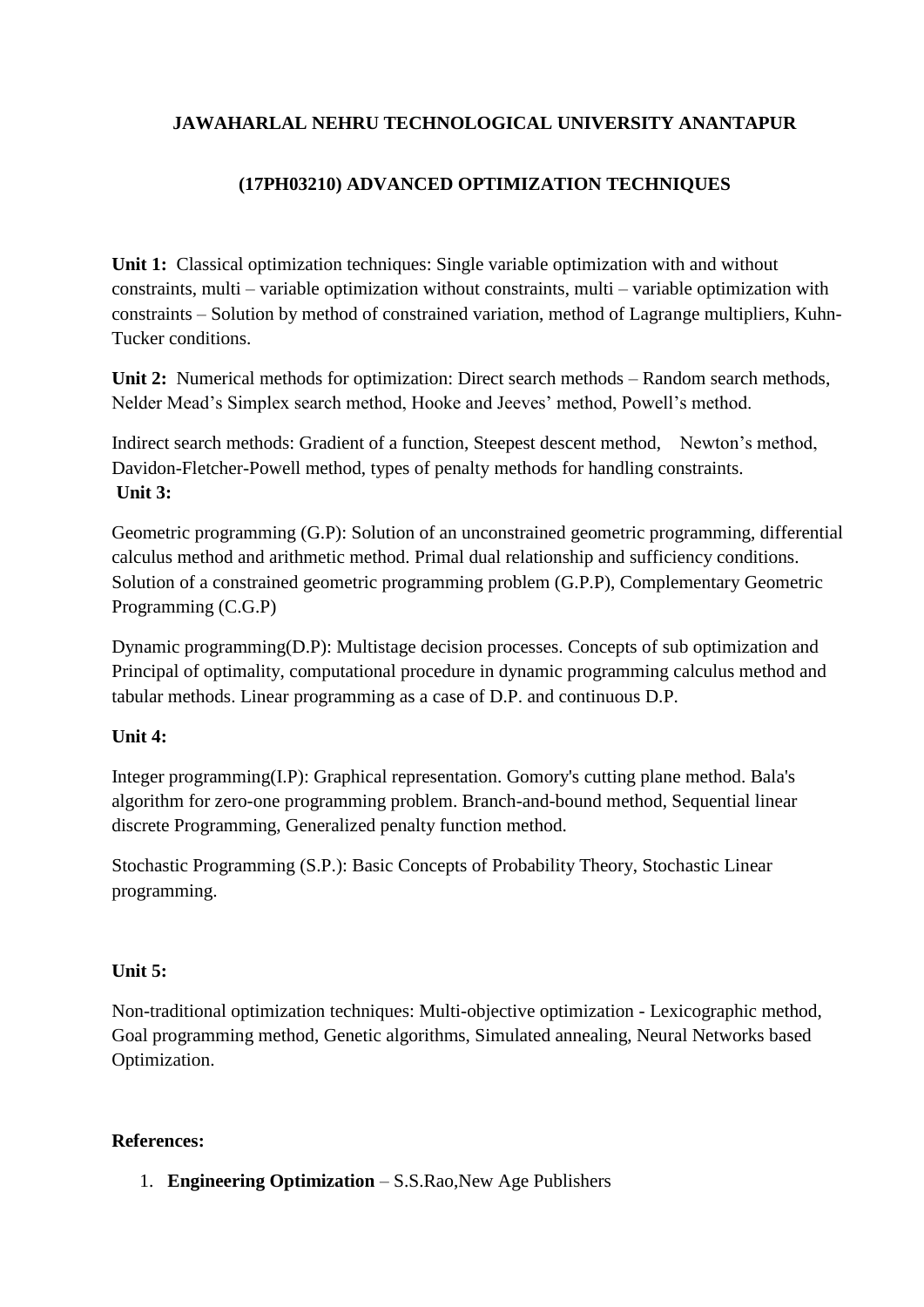# **(17PH03210) ADVANCED OPTIMIZATION TECHNIQUES**

**Unit 1:** Classical optimization techniques: Single variable optimization with and without constraints, multi – variable optimization without constraints, multi – variable optimization with constraints – Solution by method of constrained variation, method of Lagrange multipliers, Kuhn-Tucker conditions.

**Unit 2:** Numerical methods for optimization: Direct search methods – Random search methods, Nelder Mead's Simplex search method, Hooke and Jeeves' method, Powell's method.

Indirect search methods: Gradient of a function, Steepest descent method, Newton's method, Davidon-Fletcher-Powell method, types of penalty methods for handling constraints. **Unit 3:**

Geometric programming (G.P): Solution of an unconstrained geometric programming, differential calculus method and arithmetic method. Primal dual relationship and sufficiency conditions. Solution of a constrained geometric programming problem (G.P.P), Complementary Geometric Programming (C.G.P)

Dynamic programming(D.P): Multistage decision processes. Concepts of sub optimization and Principal of optimality, computational procedure in dynamic programming calculus method and tabular methods. Linear programming as a case of D.P. and continuous D.P.

# **Unit 4:**

Integer programming(I.P): Graphical representation. Gomory's cutting plane method. Bala's algorithm for zero-one programming problem. Branch-and-bound method, Sequential linear discrete Programming, Generalized penalty function method.

Stochastic Programming (S.P.): Basic Concepts of Probability Theory, Stochastic Linear programming.

# **Unit 5:**

Non-traditional optimization techniques: Multi-objective optimization - Lexicographic method, Goal programming method, Genetic algorithms, Simulated annealing, Neural Networks based Optimization.

# **References:**

1. **Engineering Optimization** – S.S.Rao,New Age Publishers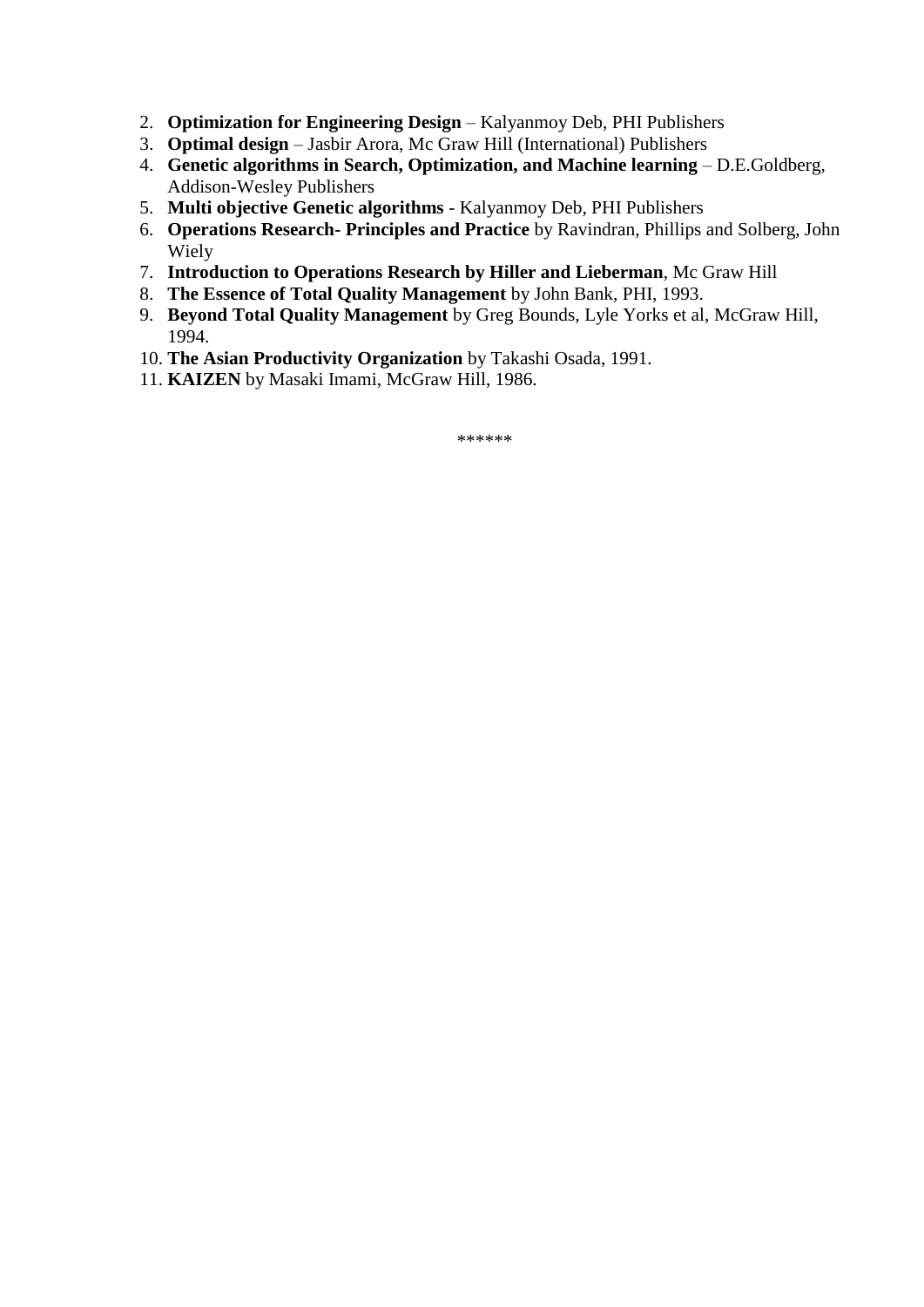- 2. **Optimization for Engineering Design** Kalyanmoy Deb, PHI Publishers
- 3. **Optimal design** Jasbir Arora, Mc Graw Hill (International) Publishers
- 4. **Genetic algorithms in Search, Optimization, and Machine learning** D.E.Goldberg, Addison-Wesley Publishers
- 5. **Multi objective Genetic algorithms** Kalyanmoy Deb, PHI Publishers
- 6. **Operations Research- Principles and Practice** by Ravindran, Phillips and Solberg, John Wiely
- 7. **Introduction to Operations Research by Hiller and Lieberman**, Mc Graw Hill
- 8. **The Essence of Total Quality Management** by John Bank, PHI, 1993.
- 9. **Beyond Total Quality Management** by Greg Bounds, Lyle Yorks et al, McGraw Hill, 1994.
- 10. **The Asian Productivity Organization** by Takashi Osada, 1991.
- 11. **KAIZEN** by Masaki Imami, McGraw Hill, 1986.

\*\*\*\*\*\*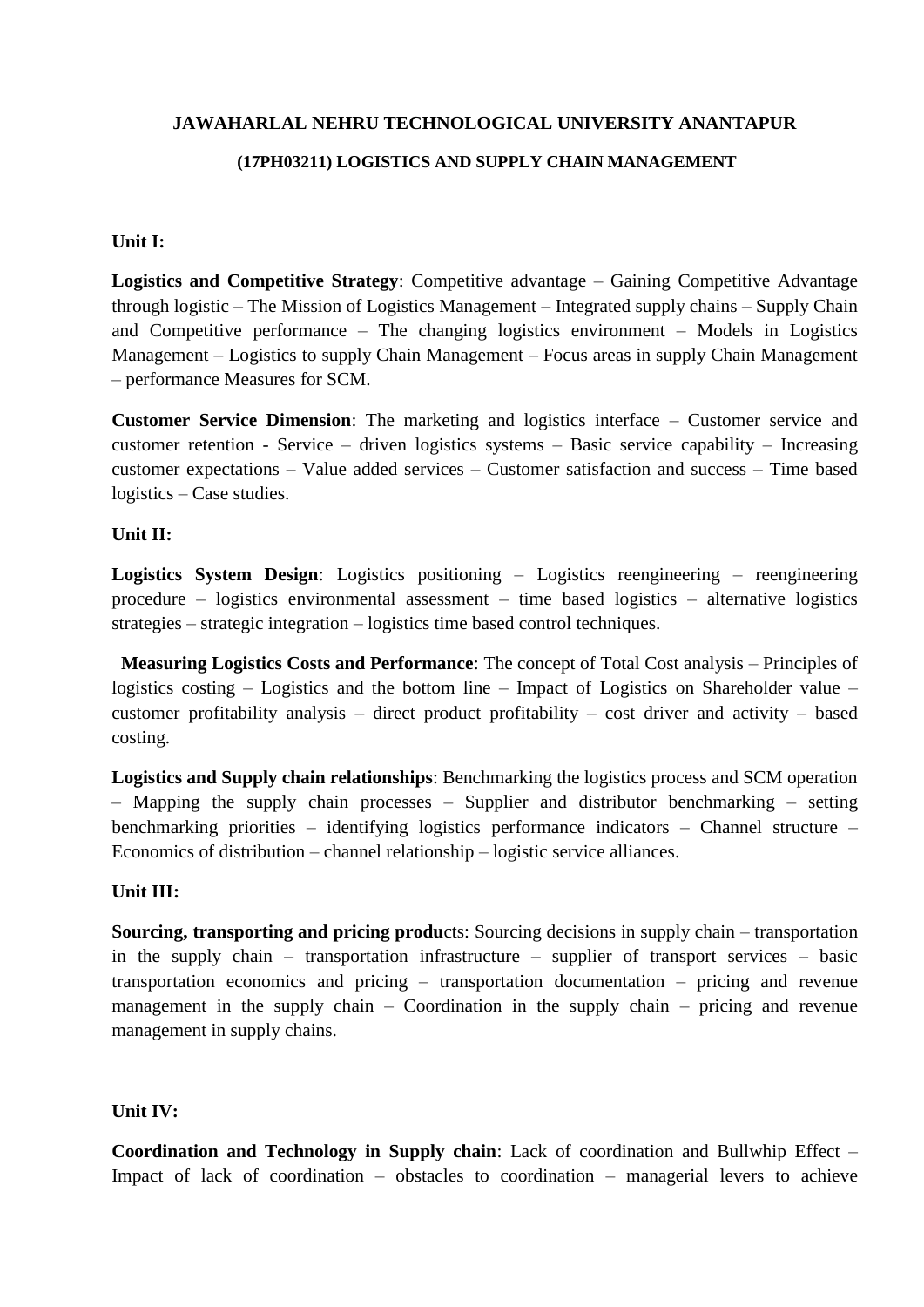#### **(17PH03211) LOGISTICS AND SUPPLY CHAIN MANAGEMENT**

#### **Unit I:**

**Logistics and Competitive Strategy**: Competitive advantage – Gaining Competitive Advantage through logistic – The Mission of Logistics Management – Integrated supply chains – Supply Chain and Competitive performance – The changing logistics environment – Models in Logistics Management – Logistics to supply Chain Management – Focus areas in supply Chain Management – performance Measures for SCM.

**Customer Service Dimension**: The marketing and logistics interface – Customer service and customer retention - Service – driven logistics systems – Basic service capability – Increasing customer expectations – Value added services – Customer satisfaction and success – Time based logistics – Case studies.

#### **Unit II:**

**Logistics System Design**: Logistics positioning – Logistics reengineering – reengineering procedure – logistics environmental assessment – time based logistics – alternative logistics strategies – strategic integration – logistics time based control techniques.

 **Measuring Logistics Costs and Performance**: The concept of Total Cost analysis – Principles of logistics costing – Logistics and the bottom line – Impact of Logistics on Shareholder value – customer profitability analysis – direct product profitability – cost driver and activity – based costing.

**Logistics and Supply chain relationships**: Benchmarking the logistics process and SCM operation – Mapping the supply chain processes – Supplier and distributor benchmarking – setting benchmarking priorities – identifying logistics performance indicators – Channel structure – Economics of distribution – channel relationship – logistic service alliances.

#### **Unit III:**

**Sourcing, transporting and pricing produ**cts: Sourcing decisions in supply chain – transportation in the supply chain – transportation infrastructure – supplier of transport services – basic transportation economics and pricing – transportation documentation – pricing and revenue management in the supply chain – Coordination in the supply chain – pricing and revenue management in supply chains.

#### **Unit IV:**

**Coordination and Technology in Supply chain**: Lack of coordination and Bullwhip Effect – Impact of lack of coordination – obstacles to coordination – managerial levers to achieve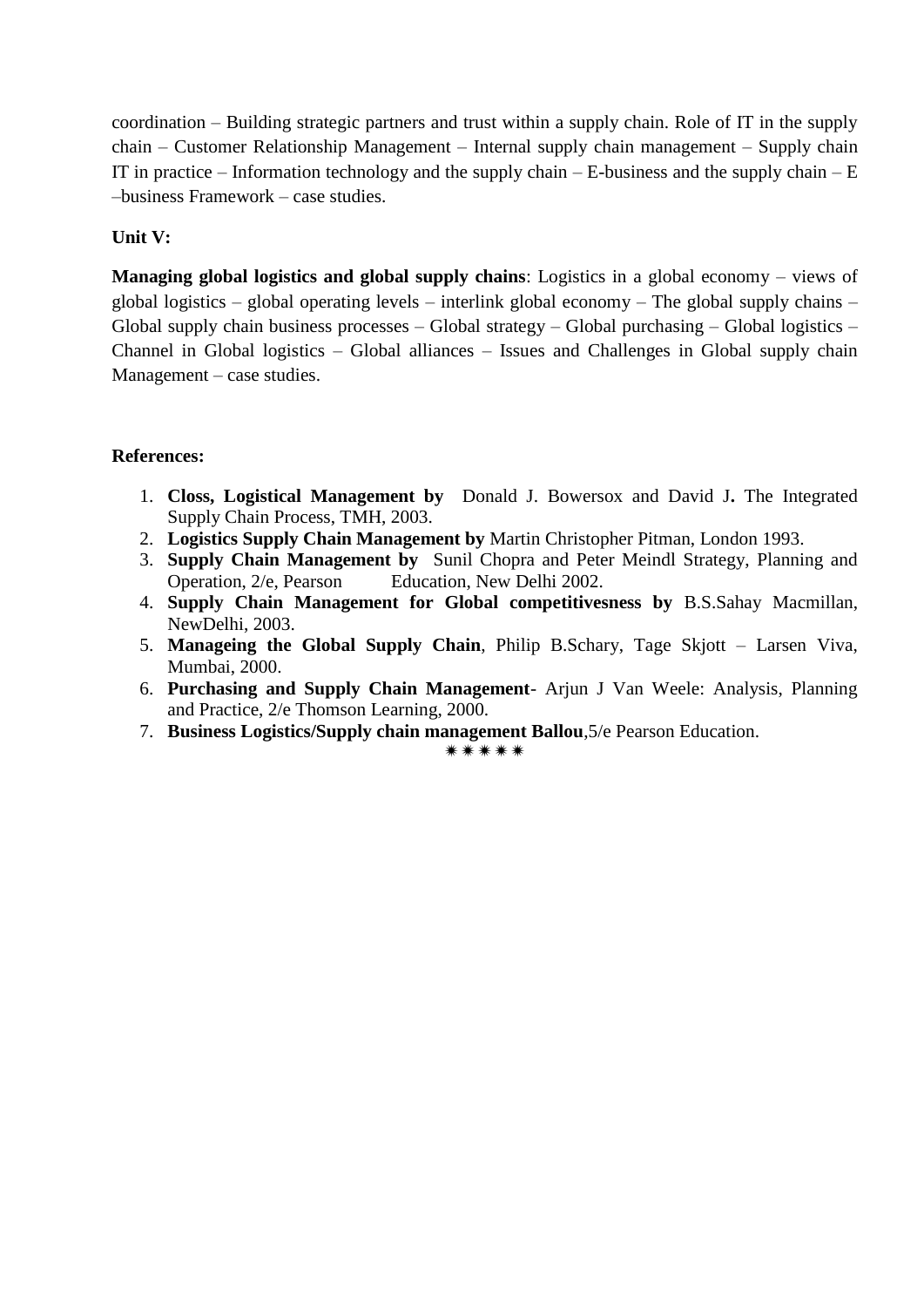coordination – Building strategic partners and trust within a supply chain. Role of IT in the supply chain – Customer Relationship Management – Internal supply chain management – Supply chain IT in practice – Information technology and the supply chain – E-business and the supply chain –  $E$ –business Framework – case studies.

#### **Unit V:**

**Managing global logistics and global supply chains**: Logistics in a global economy – views of global logistics – global operating levels – interlink global economy – The global supply chains – Global supply chain business processes – Global strategy – Global purchasing – Global logistics – Channel in Global logistics – Global alliances – Issues and Challenges in Global supply chain Management – case studies.

#### **References:**

- 1. **Closs, Logistical Management by** Donald J. Bowersox and David J**.** The Integrated Supply Chain Process, TMH, 2003.
- 2. **Logistics Supply Chain Management by** Martin Christopher Pitman, London 1993.
- 3. **Supply Chain Management by** Sunil Chopra and Peter Meindl Strategy, Planning and Operation, 2/e, Pearson Education, New Delhi 2002.
- 4. **Supply Chain Management for Global competitivesness by** B.S.Sahay Macmillan, NewDelhi, 2003.
- 5. **Manageing the Global Supply Chain**, Philip B.Schary, Tage Skjott Larsen Viva, Mumbai, 2000.
- 6. **Purchasing and Supply Chain Management** Arjun J Van Weele: Analysis, Planning and Practice, 2/e Thomson Learning, 2000.
- 7. **Business Logistics/Supply chain management Ballou**,5/e Pearson Education.

\*\*\*\*\*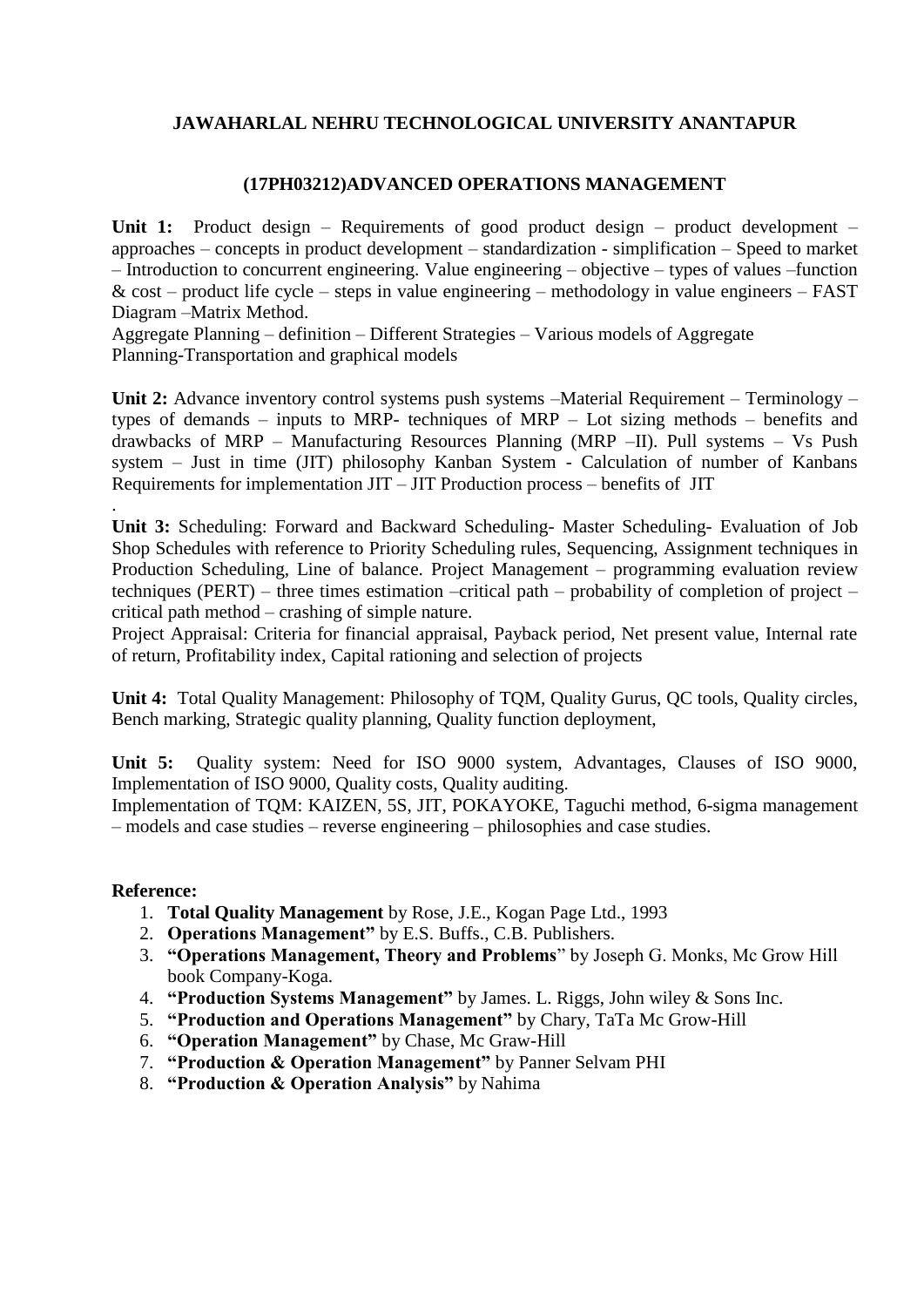#### **(17PH03212)ADVANCED OPERATIONS MANAGEMENT**

**Unit 1:** Product design – Requirements of good product design – product development – approaches – concepts in product development – standardization - simplification – Speed to market – Introduction to concurrent engineering. Value engineering – objective – types of values –function  $& cost - product life cycle - steps in value engineering - methodology in value engineering -$ Diagram –Matrix Method.

Aggregate Planning – definition – Different Strategies – Various models of Aggregate Planning-Transportation and graphical models

Unit 2: Advance inventory control systems push systems –Material Requirement – Terminology – types of demands – inputs to MRP- techniques of MRP – Lot sizing methods – benefits and drawbacks of MRP – Manufacturing Resources Planning (MRP –II). Pull systems – Vs Push system – Just in time (JIT) philosophy Kanban System - Calculation of number of Kanbans Requirements for implementation JIT – JIT Production process – benefits of JIT

**Unit 3:** Scheduling: Forward and Backward Scheduling- Master Scheduling- Evaluation of Job Shop Schedules with reference to Priority Scheduling rules, Sequencing, Assignment techniques in Production Scheduling, Line of balance. Project Management – programming evaluation review techniques (PERT) – three times estimation –critical path – probability of completion of project – critical path method – crashing of simple nature.

Project Appraisal: Criteria for financial appraisal, Payback period, Net present value, Internal rate of return, Profitability index, Capital rationing and selection of projects

**Unit 4:** Total Quality Management: Philosophy of TQM, Quality Gurus, QC tools, Quality circles, Bench marking, Strategic quality planning, Quality function deployment,

**Unit 5:** Quality system: Need for ISO 9000 system, Advantages, Clauses of ISO 9000, Implementation of ISO 9000, Quality costs, Quality auditing.

Implementation of TQM: KAIZEN, 5S, JIT, POKAYOKE, Taguchi method, 6-sigma management – models and case studies – reverse engineering – philosophies and case studies.

#### **Reference:**

.

- 1. **Total Quality Management** by Rose, J.E., Kogan Page Ltd., 1993
- 2. **Operations Management"** by E.S. Buffs., C.B. Publishers.
- 3. **"Operations Management, Theory and Problems**" by Joseph G. Monks, Mc Grow Hill book Company-Koga.
- 4. **"Production Systems Management"** by James. L. Riggs, John wiley & Sons Inc.
- 5. **"Production and Operations Management"** by Chary, TaTa Mc Grow-Hill
- 6. **"Operation Management"** by Chase, Mc Graw-Hill
- 7. **"Production & Operation Management"** by Panner Selvam PHI
- 8. **"Production & Operation Analysis"** by Nahima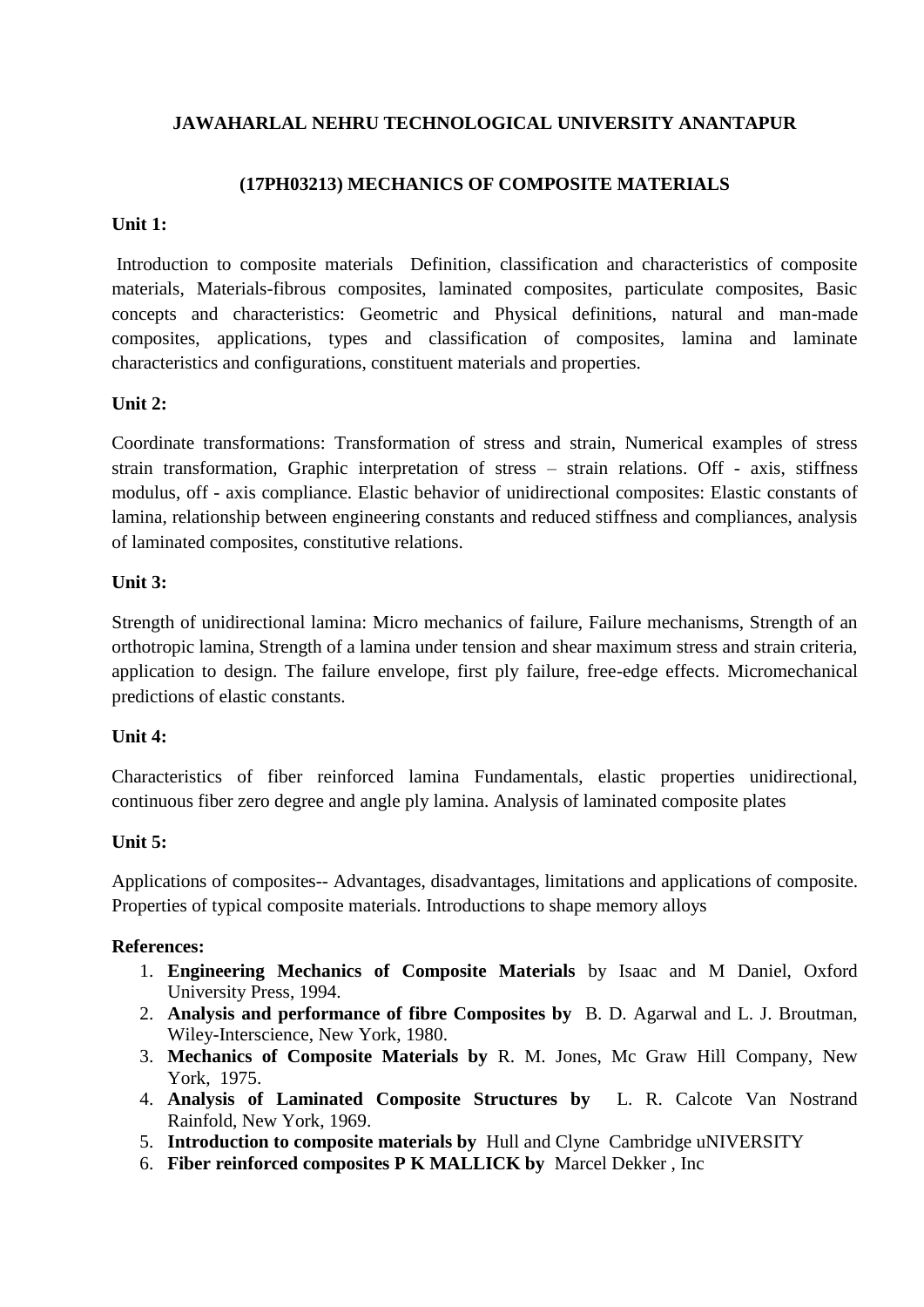# **(17PH03213) MECHANICS OF COMPOSITE MATERIALS**

#### **Unit 1:**

Introduction to composite materials Definition, classification and characteristics of composite materials, Materials-fibrous composites, laminated composites, particulate composites, Basic concepts and characteristics: Geometric and Physical definitions, natural and man-made composites, applications, types and classification of composites, lamina and laminate characteristics and configurations, constituent materials and properties.

# **Unit 2:**

Coordinate transformations: Transformation of stress and strain, Numerical examples of stress strain transformation, Graphic interpretation of stress – strain relations. Off - axis, stiffness modulus, off - axis compliance. Elastic behavior of unidirectional composites: Elastic constants of lamina, relationship between engineering constants and reduced stiffness and compliances, analysis of laminated composites, constitutive relations.

# **Unit 3:**

Strength of unidirectional lamina: Micro mechanics of failure, Failure mechanisms, Strength of an orthotropic lamina, Strength of a lamina under tension and shear maximum stress and strain criteria, application to design. The failure envelope, first ply failure, free-edge effects. Micromechanical predictions of elastic constants.

# **Unit 4:**

Characteristics of fiber reinforced lamina Fundamentals, elastic properties unidirectional, continuous fiber zero degree and angle ply lamina. Analysis of laminated composite plates

# **Unit 5:**

Applications of composites-- Advantages, disadvantages, limitations and applications of composite. Properties of typical composite materials. Introductions to shape memory alloys

# **References:**

- 1. **Engineering Mechanics of Composite Materials** by Isaac and M Daniel, Oxford University Press, 1994.
- 2. **Analysis and performance of fibre Composites by** B. D. Agarwal and L. J. Broutman, Wiley-Interscience, New York, 1980.
- 3. **Mechanics of Composite Materials by** R. M. Jones, Mc Graw Hill Company, New York, 1975.
- 4. **Analysis of Laminated Composite Structures by** L. R. Calcote Van Nostrand Rainfold, New York, 1969.
- 5. **Introduction to composite materials by** Hull and Clyne Cambridge uNIVERSITY
- 6. **Fiber reinforced composites P K MALLICK by** Marcel Dekker , Inc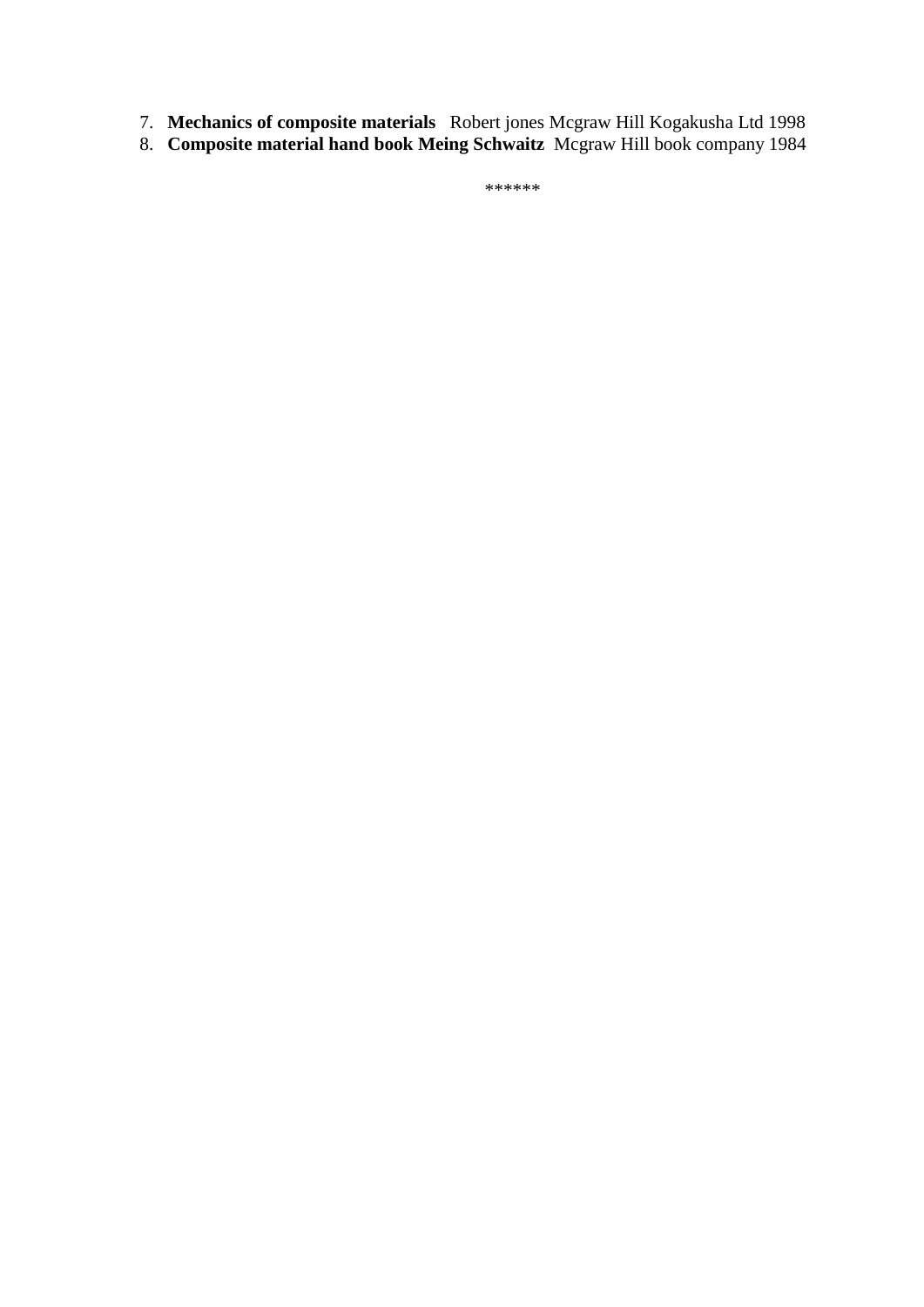- 7. **Mechanics of composite materials** Robert jones Mcgraw Hill Kogakusha Ltd 1998
- 8. **Composite material hand book Meing Schwaitz** Mcgraw Hill book company 1984

\*\*\*\*\*\*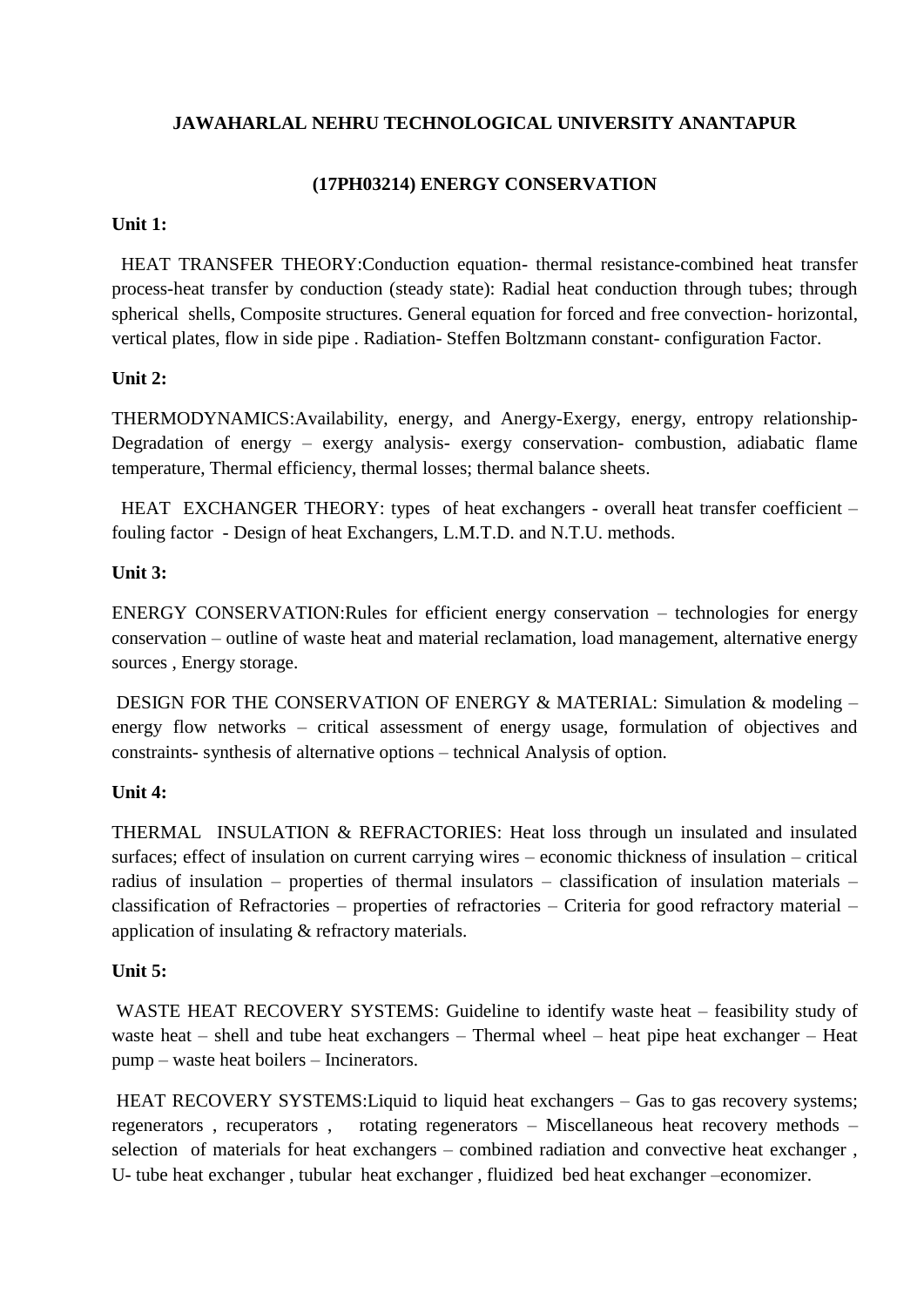# **(17PH03214) ENERGY CONSERVATION**

#### **Unit 1:**

HEAT TRANSFER THEORY:Conduction equation- thermal resistance-combined heat transfer process-heat transfer by conduction (steady state): Radial heat conduction through tubes; through spherical shells, Composite structures. General equation for forced and free convection- horizontal, vertical plates, flow in side pipe . Radiation- Steffen Boltzmann constant- configuration Factor.

# **Unit 2:**

THERMODYNAMICS:Availability, energy, and Anergy-Exergy, energy, entropy relationship-Degradation of energy – exergy analysis- exergy conservation- combustion, adiabatic flame temperature, Thermal efficiency, thermal losses; thermal balance sheets.

HEAT EXCHANGER THEORY: types of heat exchangers - overall heat transfer coefficient – fouling factor - Design of heat Exchangers, L.M.T.D. and N.T.U. methods.

# **Unit 3:**

ENERGY CONSERVATION:Rules for efficient energy conservation – technologies for energy conservation – outline of waste heat and material reclamation, load management, alternative energy sources , Energy storage.

DESIGN FOR THE CONSERVATION OF ENERGY & MATERIAL: Simulation & modeling – energy flow networks – critical assessment of energy usage, formulation of objectives and constraints- synthesis of alternative options – technical Analysis of option.

# **Unit 4:**

THERMAL INSULATION & REFRACTORIES: Heat loss through un insulated and insulated surfaces; effect of insulation on current carrying wires – economic thickness of insulation – critical radius of insulation – properties of thermal insulators – classification of insulation materials – classification of Refractories – properties of refractories – Criteria for good refractory material – application of insulating & refractory materials.

# **Unit 5:**

WASTE HEAT RECOVERY SYSTEMS: Guideline to identify waste heat – feasibility study of waste heat – shell and tube heat exchangers – Thermal wheel – heat pipe heat exchanger – Heat pump – waste heat boilers – Incinerators.

HEAT RECOVERY SYSTEMS: Liquid to liquid heat exchangers – Gas to gas recovery systems; regenerators , recuperators , rotating regenerators – Miscellaneous heat recovery methods – selection of materials for heat exchangers – combined radiation and convective heat exchanger , U- tube heat exchanger , tubular heat exchanger , fluidized bed heat exchanger –economizer.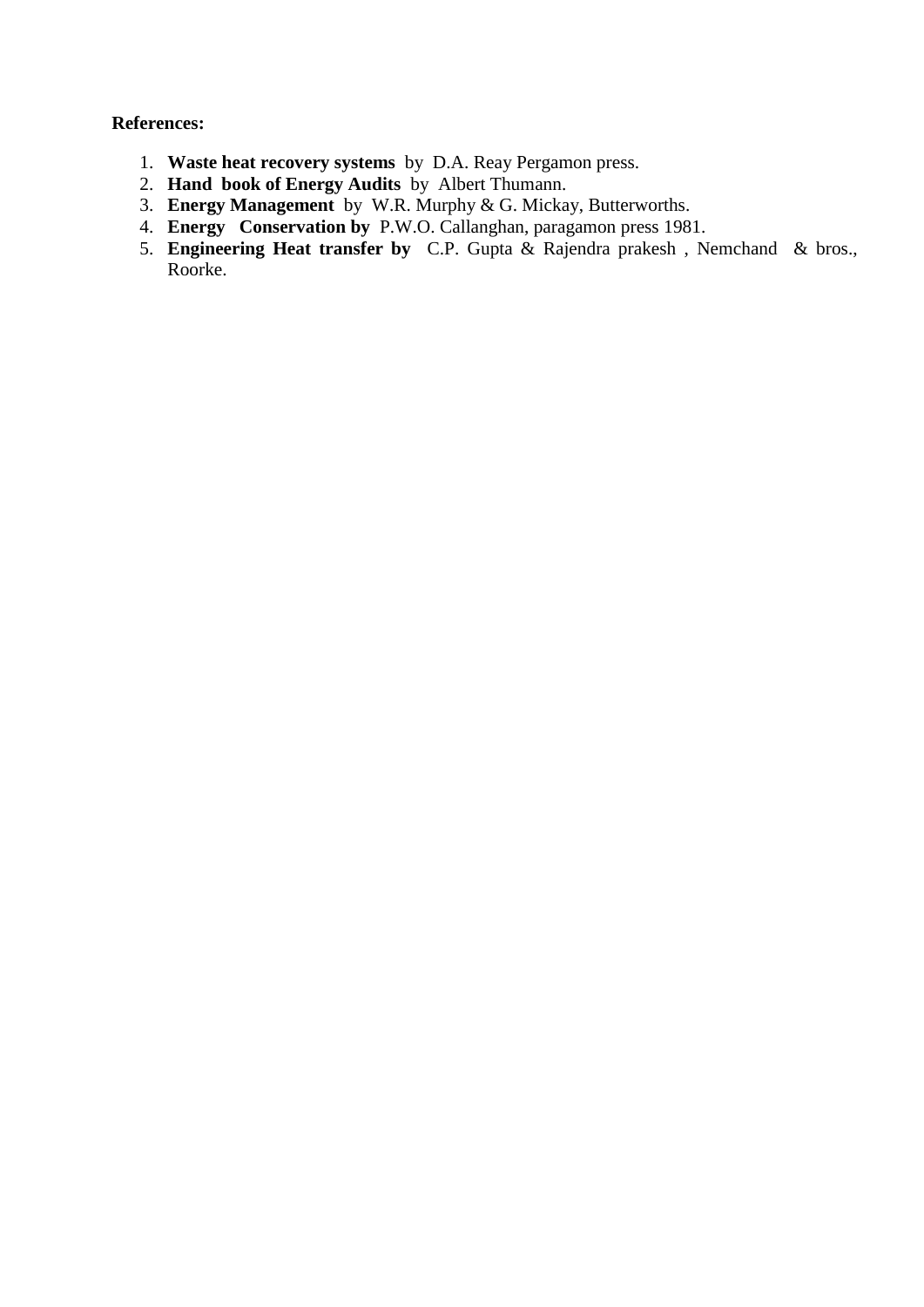#### **References:**

- 1. **Waste heat recovery systems** by D.A. Reay Pergamon press.
- 2. **Hand book of Energy Audits** by Albert Thumann.
- 3. **Energy Management** by W.R. Murphy & G. Mickay, Butterworths.
- 4. **Energy Conservation by** P.W.O. Callanghan, paragamon press 1981.
- 5. **Engineering Heat transfer by** C.P. Gupta & Rajendra prakesh , Nemchand & bros., Roorke.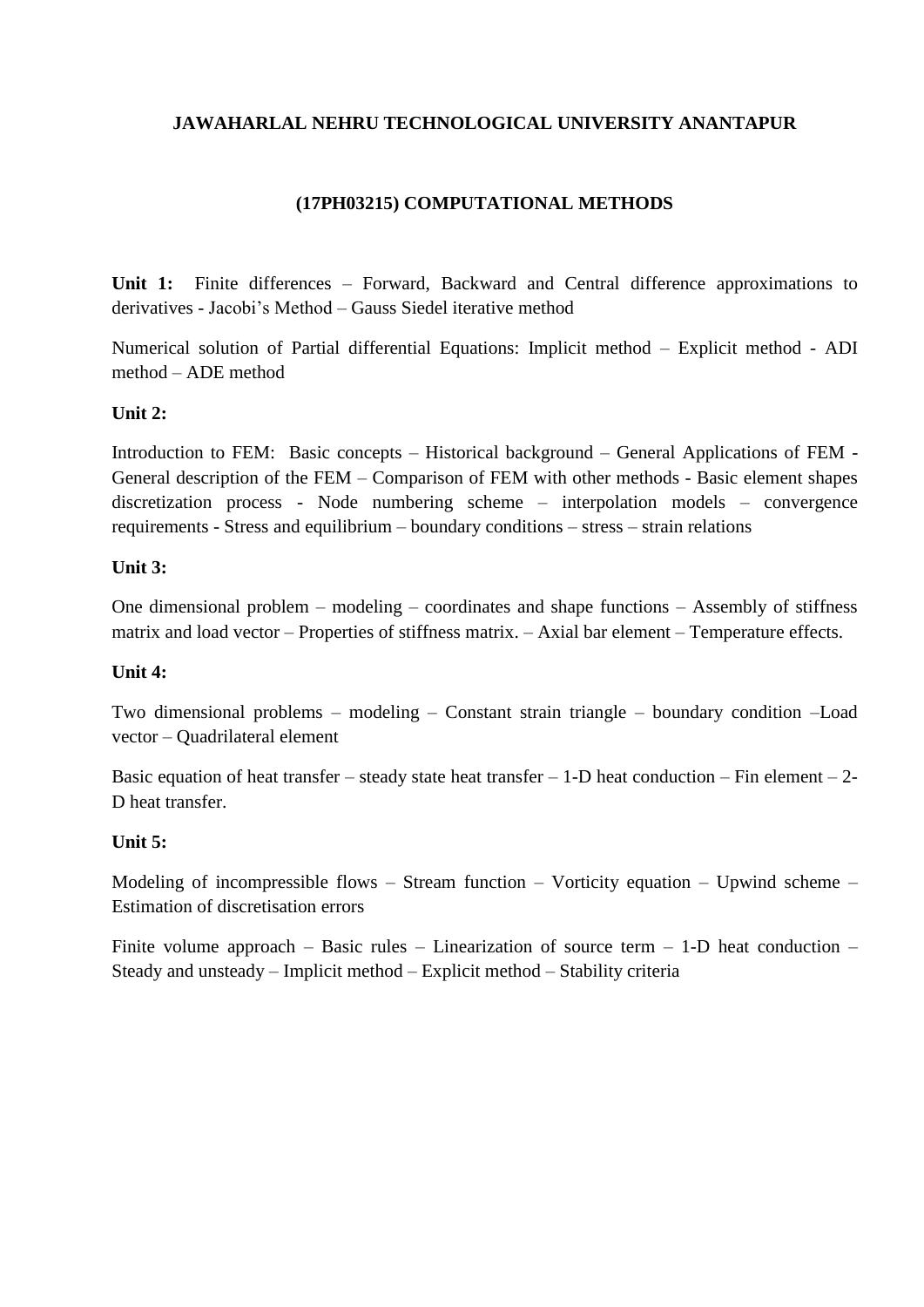# **(17PH03215) COMPUTATIONAL METHODS**

**Unit 1:** Finite differences – Forward, Backward and Central difference approximations to derivatives - Jacobi's Method – Gauss Siedel iterative method

Numerical solution of Partial differential Equations: Implicit method – Explicit method - ADI method – ADE method

#### **Unit 2:**

Introduction to FEM: Basic concepts – Historical background – General Applications of FEM - General description of the FEM – Comparison of FEM with other methods - Basic element shapes discretization process - Node numbering scheme – interpolation models – convergence requirements - Stress and equilibrium – boundary conditions – stress – strain relations

#### **Unit 3:**

One dimensional problem – modeling – coordinates and shape functions – Assembly of stiffness matrix and load vector – Properties of stiffness matrix. – Axial bar element – Temperature effects.

#### **Unit 4:**

Two dimensional problems – modeling – Constant strain triangle – boundary condition –Load vector – Quadrilateral element

Basic equation of heat transfer – steady state heat transfer – 1-D heat conduction – Fin element – 2-D heat transfer.

#### **Unit 5:**

Modeling of incompressible flows – Stream function – Vorticity equation – Upwind scheme – Estimation of discretisation errors

Finite volume approach – Basic rules – Linearization of source term – 1-D heat conduction – Steady and unsteady – Implicit method – Explicit method – Stability criteria